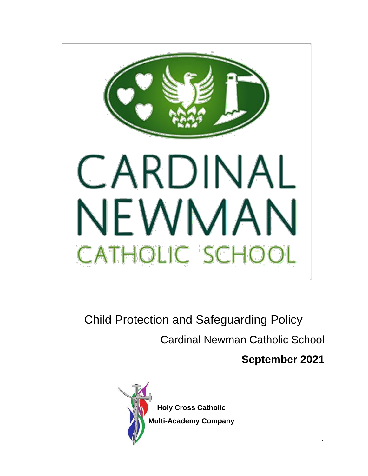

Child Protection and Safeguarding Policy Cardinal Newman Catholic School

**September 2021**



**Holy Cross Catholic Multi-Academy Company**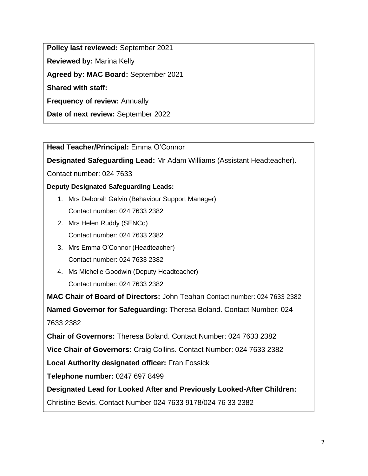**Policy last reviewed:** September 2021

**Reviewed by:** Marina Kelly

**Agreed by: MAC Board:** September 2021

**Shared with staff:**

**Frequency of review: Annually** 

**Date of next review:** September 2022

**Head Teacher/Principal:** Emma O'Connor

**Designated Safeguarding Lead:** Mr Adam Williams (Assistant Headteacher).

Contact number: 024 7633

**Deputy Designated Safeguarding Leads:**

- 1. Mrs Deborah Galvin (Behaviour Support Manager) Contact number: 024 7633 2382
- 2. Mrs Helen Ruddy (SENCo) Contact number: 024 7633 2382
- 3. Mrs Emma O'Connor (Headteacher) Contact number: 024 7633 2382
- 4. Ms Michelle Goodwin (Deputy Headteacher) Contact number: 024 7633 2382

**MAC Chair of Board of Directors:** John Teahan Contact number: 024 7633 2382

**Named Governor for Safeguarding:** Theresa Boland. Contact Number: 024 7633 2382

**Chair of Governors:** Theresa Boland. Contact Number: 024 7633 2382

**Vice Chair of Governors:** Craig Collins. Contact Number: 024 7633 2382

**Local Authority designated officer:** Fran Fossick

**Telephone number:** 0247 697 8499

**Designated Lead for Looked After and Previously Looked-After Children:**

Christine Bevis. Contact Number 024 7633 9178/024 76 33 2382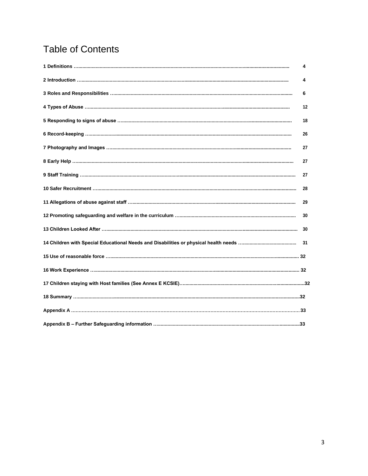# **Table of Contents**

| 4   |
|-----|
| 4   |
| 6   |
| 12  |
| 18  |
| 26  |
| 27  |
| 27  |
| 27  |
| 28  |
| 29  |
| 30  |
| -30 |
|     |
|     |
|     |
|     |
|     |
|     |
|     |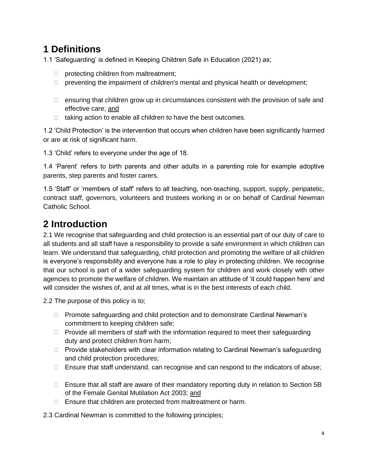# **1 Definitions**

1.1 'Safeguarding' is defined in Keeping Children Safe in Education (2021) as;

- $\Box$  protecting children from maltreatment;
- $\Box$  preventing the impairment of children's mental and physical health or development;
- $\Box$  ensuring that children grow up in circumstances consistent with the provision of safe and effective care; and
- $\Box$  taking action to enable all children to have the best outcomes.

1.2 'Child Protection' is the intervention that occurs when children have been significantly harmed or are at risk of significant harm.

1.3 'Child' refers to everyone under the age of 18.

1.4 'Parent' refers to birth parents and other adults in a parenting role for example adoptive parents, step parents and foster carers.

1.5 'Staff' or 'members of staff' refers to all teaching, non-teaching, support, supply, peripatetic, contract staff, governors, volunteers and trustees working in or on behalf of Cardinal Newman Catholic School.

# **2 Introduction**

2.1 We recognise that safeguarding and child protection is an essential part of our duty of care to all students and all staff have a responsibility to provide a safe environment in which children can learn. We understand that safeguarding, child protection and promoting the welfare of all children is everyone's responsibility and everyone has a role to play in protecting children. We recognise that our school is part of a wider safeguarding system for children and work closely with other agencies to promote the welfare of children. We maintain an attitude of 'it could happen here' and will consider the wishes of, and at all times, what is in the best interests of each child.

2.2 The purpose of this policy is to;

- $\Box$  Promote safeguarding and child protection and to demonstrate Cardinal Newman's commitment to keeping children safe;
- $\Box$  Provide all members of staff with the information required to meet their safeguarding duty and protect children from harm;
- $\Box$  Provide stakeholders with clear information relating to Cardinal Newman's safeguarding and child protection procedures;
- $\Box$  Ensure that staff understand, can recognise and can respond to the indicators of abuse;
- $\Box$  Ensure that all staff are aware of their mandatory reporting duty in relation to Section 5B of the Female Genital Mutilation Act 2003; and
- □ Ensure that children are protected from maltreatment or harm.

2.3 Cardinal Newman is committed to the following principles;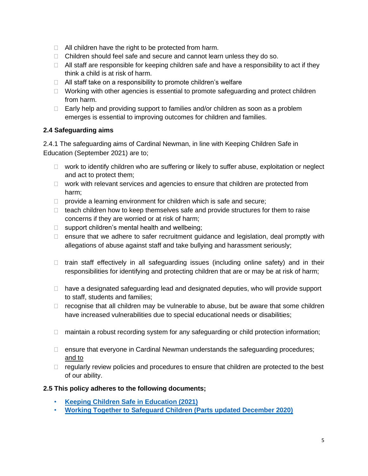- $\Box$  All children have the right to be protected from harm.
- $\Box$  Children should feel safe and secure and cannot learn unless they do so.
- $\Box$  All staff are responsible for keeping children safe and have a responsibility to act if they think a child is at risk of harm.
- $\Box$  All staff take on a responsibility to promote children's welfare
- $\Box$  Working with other agencies is essential to promote safeguarding and protect children from harm.
- $\Box$  Early help and providing support to families and/or children as soon as a problem emerges is essential to improving outcomes for children and families.

### **2.4 Safeguarding aims**

2.4.1 The safeguarding aims of Cardinal Newman, in line with Keeping Children Safe in Education (September 2021) are to;

- $\Box$  work to identify children who are suffering or likely to suffer abuse, exploitation or neglect and act to protect them;
- $\Box$  work with relevant services and agencies to ensure that children are protected from harm;
- $\Box$  provide a learning environment for children which is safe and secure;
- $\Box$  teach children how to keep themselves safe and provide structures for them to raise concerns if they are worried or at risk of harm;
- $\Box$  support children's mental health and wellbeing;
- $\Box$  ensure that we adhere to safer recruitment guidance and legislation, deal promptly with allegations of abuse against staff and take bullying and harassment seriously;
- $\Box$  train staff effectively in all safeguarding issues (including online safety) and in their responsibilities for identifying and protecting children that are or may be at risk of harm;
- $\Box$  have a designated safeguarding lead and designated deputies, who will provide support to staff, students and families;
- $\Box$  recognise that all children may be vulnerable to abuse, but be aware that some children have increased vulnerabilities due to special educational needs or disabilities;
- □ maintain a robust recording system for any safeguarding or child protection information;
- $\Box$  ensure that everyone in Cardinal Newman understands the safeguarding procedures; and to
- $\Box$  regularly review policies and procedures to ensure that children are protected to the best of our ability.

#### **2.5 This policy adheres to the following documents;**

- **[Keeping Children Safe in Education \(2021\)](file:///C:/Users/cvcha834/OneDrive%20-%20Coventry%20City%20Council/SIE%20role/KCSIE/Keeping_children_safe_in_education_2021.pdf)**
- **[Working Together to Safeguard Children \(Parts updated December 2020\)](file:///C:/Users/cvcha834/OneDrive%20-%20Coventry%20City%20Council/SIE%20role/KCSIE/Working_together_to_safeguard_children_inter_agency_guidance.pdf)**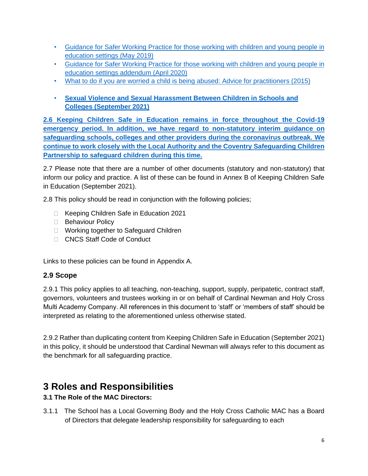- [Guidance for Safer Working Practice for those working with children and young](https://www.saferrecruitmentconsortium.org/GSWP%20Sept%202019.pdf) [people in](https://www.saferrecruitmentconsortium.org/GSWP%20Sept%202019.pdf)  [education settings \(May 2019\)](https://www.saferrecruitmentconsortium.org/GSWP%20Sept%202019.pdf)
- [Guidance for Safer Working Practice for those working with children and young](https://www.saferrecruitmentconsortium.org/GSWP%20Sept%202019.pdf%22%EF%BF%BDHYPERLINK%20%22https:/www.saferrecruitmentconsortium.org/GSWP%20COVID%20addendum%20April%202020%20final-1.pdf) [people in](https://www.saferrecruitmentconsortium.org/GSWP%20Sept%202019.pdf%22%EF%BF%BDHYPERLINK%20%22https:/www.saferrecruitmentconsortium.org/GSWP%20COVID%20addendum%20April%202020%20final-1.pdf)  [education settings addendum \(April 2020\)](https://www.saferrecruitmentconsortium.org/GSWP%20Sept%202019.pdf%22%EF%BF%BDHYPERLINK%20%22https:/www.saferrecruitmentconsortium.org/GSWP%20COVID%20addendum%20April%202020%20final-1.pdf)
- [What to do if you are worried a child is being abused: Advice for practitioners](https://www.gov.uk/government/publications/what-to-do-if-youre-worried-a-child-is-being-abused--2) [\(2015\)](https://www.gov.uk/government/publications/what-to-do-if-youre-worried-a-child-is-being-abused--2)
- **[Sexual Violence and Sexual Harassment Between Children in Schools and](file:///C:/Users/cvcha834/OneDrive%20-%20Coventry%20City%20Council/SIE%20role/KCSIE/Sexual_violence_and_sexual_harassment_between_children_in_schools_and_colleges.pdf) [Colleges \(September 2021\)](file:///C:/Users/cvcha834/OneDrive%20-%20Coventry%20City%20Council/SIE%20role/KCSIE/Sexual_violence_and_sexual_harassment_between_children_in_schools_and_colleges.pdf)**

**2.6 Keeping Children Safe in Education remains in force throughout the Covid-19 emergency period. In addition, we have regard to [non-statutory interim guidance on](https://www.gov.uk/government/publications/covid-19-safeguarding-in-schools-colleges-and-other-providers/coronavirus-covid-19-safeguarding-in-schools-colleges-and-other-providers) [safeguarding schools, colleges and other providers during the coronavirus outbreak. W](https://www.gov.uk/government/publications/covid-19-safeguarding-in-schools-colleges-and-other-providers/coronavirus-covid-19-safeguarding-in-schools-colleges-and-other-providers)e continue to work closely with the Local Authority and the Coventry Safeguarding Children Partnership to safeguard children during this time.**

2.7 Please note that there are a number of other documents (statutory and non-statutory) that inform our policy and practice. A list of these can be found in Annex B of Keeping Children Safe in Education (September 2021).

2.8 This policy should be read in conjunction with the following policies;

- □ Keeping Children Safe in Education 2021
- □ Behaviour Policy
- □ Working together to Safeguard Children
- □ CNCS Staff Code of Conduct

Links to these policies can be found in Appendix A.

# **2.9 Scope**

2.9.1 This policy applies to all teaching, non-teaching, support, supply, peripatetic, contract staff, governors, volunteers and trustees working in or on behalf of Cardinal Newman and Holy Cross Multi Academy Company. All references in this document to 'staff' or 'members of staff' should be interpreted as relating to the aforementioned unless otherwise stated.

2.9.2 Rather than duplicating content from Keeping Children Safe in Education (September 2021) in this policy, it should be understood that Cardinal Newman will always refer to this document as the benchmark for all safeguarding practice.

# **3 Roles and Responsibilities**

# **3.1 The Role of the MAC Directors:**

3.1.1 The School has a Local Governing Body and the Holy Cross Catholic MAC has a Board of Directors that delegate leadership responsibility for safeguarding to each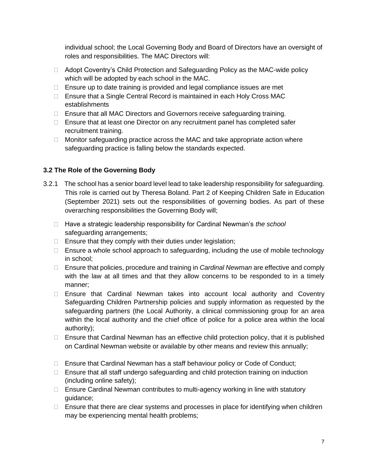individual school; the Local Governing Body and Board of Directors have an oversight of roles and responsibilities. The MAC Directors will:

- □ Adopt Coventry's Child Protection and Safeguarding Policy as the MAC-wide policy which will be adopted by each school in the MAC.
- $\Box$  Ensure up to date training is provided and legal compliance issues are met
- □ Ensure that a Single Central Record is maintained in each Holy Cross MAC establishments
- □ Ensure that all MAC Directors and Governors receive safeguarding training.
- $\Box$  Ensure that at least one Director on any recruitment panel has completed safer recruitment training.
- $\Box$  Monitor safeguarding practice across the MAC and take appropriate action where safeguarding practice is falling below the standards expected.

### **3.2 The Role of the Governing Body**

- 3.2.1 The school has a senior board level lead to take leadership responsibility for safeguarding. This role is carried out by Theresa Boland. Part 2 of Keeping Children Safe in Education (September 2021) sets out the responsibilities of governing bodies. As part of these overarching responsibilities the Governing Body will;
	- □ Have a strategic leadership responsibility for Cardinal Newman's *the school* safeguarding arrangements;
	- $\Box$  Ensure that they comply with their duties under legislation;
	- $\Box$  Ensure a whole school approach to safeguarding, including the use of mobile technology in school;
	- Ensure that policies, procedure and training in *Cardinal Newman* are effective and comply with the law at all times and that they allow concerns to be responded to in a timely manner;
	- □ Ensure that Cardinal Newman takes into account local authority and Coventry Safeguarding Children Partnership policies and supply information as requested by the safeguarding partners (the Local Authority, a clinical commissioning group for an area within the local authority and the chief office of police for a police area within the local authority);
	- $\Box$  Ensure that Cardinal Newman has an effective child protection policy, that it is published on Cardinal Newman website or available by other means and review this annually;
	- □ Ensure that Cardinal Newman has a staff behaviour policy or Code of Conduct;
	- $\Box$  Ensure that all staff undergo safeguarding and child protection training on induction (including online safety);
	- □ Ensure Cardinal Newman contributes to multi-agency working in line with statutory guidance;
	- $\Box$  Ensure that there are clear systems and processes in place for identifying when children may be experiencing mental health problems;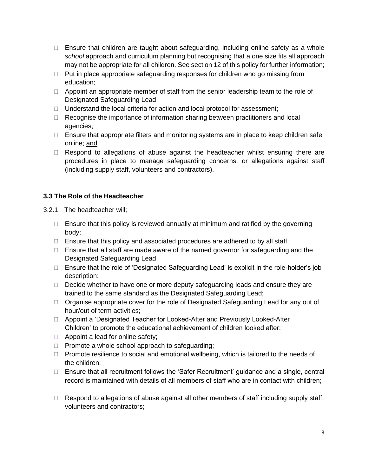- $\Box$  Ensure that children are taught about safeguarding, including online safety as a whole *school* approach and curriculum planning but recognising that a one size fits all approach may not be appropriate for all children. See section 12 of this policy for further information;
- $\Box$  Put in place appropriate safeguarding responses for children who go missing from education;
- $\Box$  Appoint an appropriate member of staff from the senior leadership team to the role of Designated Safeguarding Lead;
- □ Understand the local criteria for action and local protocol for assessment;
- $\Box$  Recognise the importance of information sharing between practitioners and local agencies;
- $\Box$  Ensure that appropriate filters and monitoring systems are in place to keep children safe online; and
- $\Box$  Respond to allegations of abuse against the headteacher whilst ensuring there are procedures in place to manage safeguarding concerns, or allegations against staff (including supply staff, volunteers and contractors).

### **3.3 The Role of the Headteacher**

- 3.2.1 The headteacher will;
	- $\Box$  Ensure that this policy is reviewed annually at minimum and ratified by the governing body;
	- $\Box$  Ensure that this policy and associated procedures are adhered to by all staff;
	- $\Box$  Ensure that all staff are made aware of the named governor for safeguarding and the Designated Safeguarding Lead;
	- □ Ensure that the role of 'Designated Safeguarding Lead' is explicit in the role-holder's job description;
	- $\Box$  Decide whether to have one or more deputy safeguarding leads and ensure they are trained to the same standard as the Designated Safeguarding Lead;
	- $\Box$  Organise appropriate cover for the role of Designated Safeguarding Lead for any out of hour/out of term activities;
	- □ Appoint a 'Designated Teacher for Looked-After and Previously Looked-After Children' to promote the educational achievement of children looked after;
	- $\Box$  Appoint a lead for online safety;
	- $\Box$  Promote a whole school approach to safeguarding;
	- $\Box$  Promote resilience to social and emotional wellbeing, which is tailored to the needs of the children;
	- □ Ensure that all recruitment follows the 'Safer Recruitment' guidance and a single, central record is maintained with details of all members of staff who are in contact with children;
	- $\Box$  Respond to allegations of abuse against all other members of staff including supply staff, volunteers and contractors;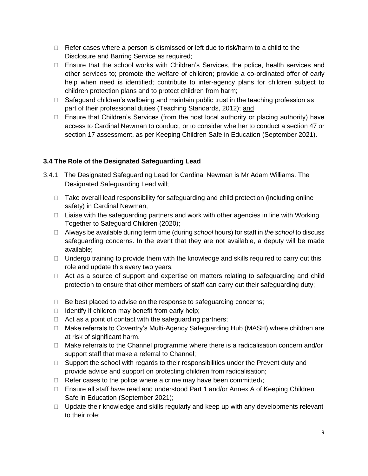- $\Box$  Refer cases where a person is dismissed or left due to risk/harm to a child to the Disclosure and Barring Service as required;
- □ Ensure that the school works with Children's Services, the police, health services and other services to; promote the welfare of children; provide a co-ordinated offer of early help when need is identified; contribute to inter-agency plans for children subject to children protection plans and to protect children from harm;
- $\Box$  Safeguard children's wellbeing and maintain public trust in the teaching profession as part of their professional duties (Teaching Standards, 2012); and
- $\Box$  Ensure that Children's Services (from the host local authority or placing authority) have access to Cardinal Newman to conduct, or to consider whether to conduct a section 47 or section 17 assessment, as per Keeping Children Safe in Education (September 2021).

### **3.4 The Role of the Designated Safeguarding Lead**

- 3.4.1 The Designated Safeguarding Lead for Cardinal Newman is Mr Adam Williams. The Designated Safeguarding Lead will;
	- □ Take overall lead responsibility for safeguarding and child protection (including online safety) in Cardinal Newman;
	- $\Box$  Liaise with the safeguarding partners and work with other agencies in line with Working Together to Safeguard Children (2020);
	- Always be available during term time (during *school* hours) for staff in *the school* to discuss safeguarding concerns. In the event that they are not available, a deputy will be made available;
	- $\Box$  Undergo training to provide them with the knowledge and skills required to carry out this role and update this every two years;
	- $\Box$  Act as a source of support and expertise on matters relating to safeguarding and child protection to ensure that other members of staff can carry out their safeguarding duty;
	- $\Box$  Be best placed to advise on the response to safeguarding concerns;
	- $\Box$  Identify if children may benefit from early help;
	- $\Box$  Act as a point of contact with the safeguarding partners;
	- □ Make referrals to Coventry's Multi-Agency Safeguarding Hub (MASH) where children are at risk of significant harm.
	- $\Box$  Make referrals to the Channel programme where there is a radicalisation concern and/or support staff that make a referral to Channel;
	- $\Box$  Support the school with regards to their responsibilities under the Prevent duty and provide advice and support on protecting children from radicalisation;
	- $\Box$  Refer cases to the police where a crime may have been committed<sub>1</sub>;
	- □ Ensure all staff have read and understood Part 1 and/or Annex A of Keeping Children Safe in Education (September 2021);
	- $\Box$  Update their knowledge and skills regularly and keep up with any developments relevant to their role;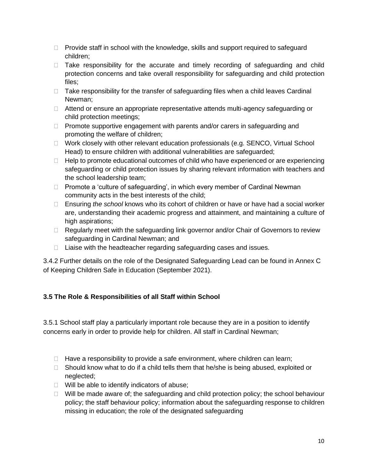- $\Box$  Provide staff in school with the knowledge, skills and support required to safeguard children;
- $\Box$  Take responsibility for the accurate and timely recording of safeguarding and child protection concerns and take overall responsibility for safeguarding and child protection files;
- $\Box$  Take responsibility for the transfer of safeguarding files when a child leaves Cardinal Newman;
- □ Attend or ensure an appropriate representative attends multi-agency safeguarding or child protection meetings;
- $\Box$  Promote supportive engagement with parents and/or carers in safeguarding and promoting the welfare of children;
- $\Box$  Work closely with other relevant education professionals (e.g. SENCO, Virtual School Head) to ensure children with additional vulnerabilities are safeguarded;
- $\Box$  Help to promote educational outcomes of child who have experienced or are experiencing safeguarding or child protection issues by sharing relevant information with teachers and the school leadership team;
- $\Box$  Promote a 'culture of safeguarding', in which every member of Cardinal Newman community acts in the best interests of the child;
- Ensuring *the school* knows who its cohort of children or have or have had a social worker are, understanding their academic progress and attainment, and maintaining a culture of high aspirations;
- $\Box$  Regularly meet with the safeguarding link governor and/or Chair of Governors to review safeguarding in Cardinal Newman; and
- $\Box$  Liaise with the headteacher regarding safeguarding cases and issues.

3.4.2 Further details on the role of the Designated Safeguarding Lead can be found in Annex C of Keeping Children Safe in Education (September 2021).

# **3.5 The Role & Responsibilities of all Staff within School**

3.5.1 School staff play a particularly important role because they are in a position to identify concerns early in order to provide help for children. All staff in Cardinal Newman;

- $\Box$  Have a responsibility to provide a safe environment, where children can learn;
- $\Box$  Should know what to do if a child tells them that he/she is being abused, exploited or neglected;
- $\Box$  Will be able to identify indicators of abuse;
- $\Box$  Will be made aware of; the safeguarding and child protection policy; the school behaviour policy; the staff behaviour policy; information about the safeguarding response to children missing in education; the role of the designated safeguarding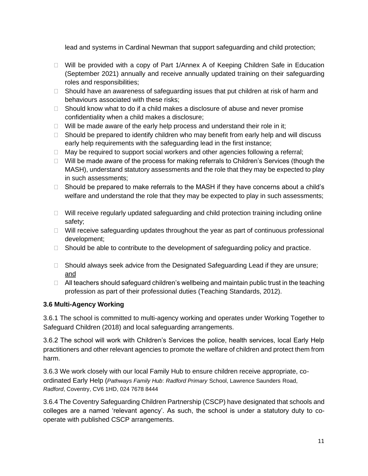lead and systems in Cardinal Newman that support safeguarding and child protection;

- □ Will be provided with a copy of Part 1/Annex A of Keeping Children Safe in Education (September 2021) annually and receive annually updated training on their safeguarding roles and responsibilities;
- $\Box$  Should have an awareness of safeguarding issues that put children at risk of harm and behaviours associated with these risks;
- $\Box$  Should know what to do if a child makes a disclosure of abuse and never promise confidentiality when a child makes a disclosure;
- $\Box$  Will be made aware of the early help process and understand their role in it;
- $\Box$  Should be prepared to identify children who may benefit from early help and will discuss early help requirements with the safeguarding lead in the first instance;
- $\Box$  May be required to support social workers and other agencies following a referral;
- $\Box$  Will be made aware of the process for making referrals to Children's Services (though the MASH), understand statutory assessments and the role that they may be expected to play in such assessments;
- $\Box$  Should be prepared to make referrals to the MASH if they have concerns about a child's welfare and understand the role that they may be expected to play in such assessments;
- $\Box$  Will receive regularly updated safeguarding and child protection training including online safety;
- □ Will receive safeguarding updates throughout the year as part of continuous professional development;
- $\Box$  Should be able to contribute to the development of safeguarding policy and practice.
- □ Should always seek advice from the Designated Safeguarding Lead if they are unsure; and
- $\Box$  All teachers should safeguard children's wellbeing and maintain public trust in the teaching profession as part of their professional duties (Teaching Standards, 2012).

# **3.6 Multi-Agency Working**

3.6.1 The school is committed to multi-agency working and operates under Working Together to Safeguard Children (2018) and local safeguarding arrangements.

3.6.2 The school will work with Children's Services the police, health services, local Early Help practitioners and other relevant agencies to promote the welfare of children and protect them from harm.

3.6.3 We work closely with our local Family Hub to ensure children receive appropriate, coordinated Early Help (*Pathways Family Hub*: *Radford Primary* School, Lawrence Saunders Road, *Radford*, Coventry, CV6 1HD, 024 7678 8444

3.6.4 The Coventry Safeguarding Children Partnership (CSCP) have designated that schools and colleges are a named 'relevant agency'. As such, the school is under a statutory duty to cooperate with published CSCP arrangements.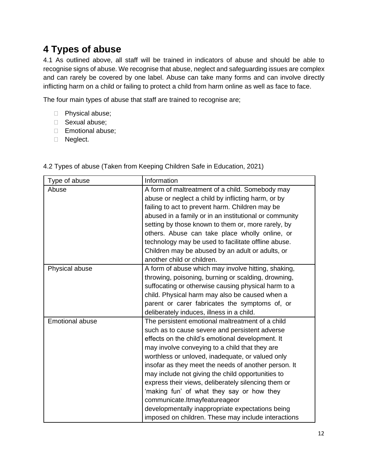# **4 Types of abuse**

4.1 As outlined above, all staff will be trained in indicators of abuse and should be able to recognise signs of abuse. We recognise that abuse, neglect and safeguarding issues are complex and can rarely be covered by one label. Abuse can take many forms and can involve directly inflicting harm on a child or failing to protect a child from harm online as well as face to face.

The four main types of abuse that staff are trained to recognise are;

- **Physical abuse;**
- □ Sexual abuse;
- □ Emotional abuse;
- Neglect.

| Type of abuse          | Information                                            |
|------------------------|--------------------------------------------------------|
| Abuse                  | A form of maltreatment of a child. Somebody may        |
|                        | abuse or neglect a child by inflicting harm, or by     |
|                        | failing to act to prevent harm. Children may be        |
|                        | abused in a family or in an institutional or community |
|                        | setting by those known to them or, more rarely, by     |
|                        | others. Abuse can take place wholly online, or         |
|                        | technology may be used to facilitate offline abuse.    |
|                        | Children may be abused by an adult or adults, or       |
|                        | another child or children.                             |
| Physical abuse         | A form of abuse which may involve hitting, shaking,    |
|                        | throwing, poisoning, burning or scalding, drowning,    |
|                        | suffocating or otherwise causing physical harm to a    |
|                        | child. Physical harm may also be caused when a         |
|                        | parent or carer fabricates the symptoms of, or         |
|                        | deliberately induces, illness in a child.              |
| <b>Emotional abuse</b> | The persistent emotional maltreatment of a child       |
|                        | such as to cause severe and persistent adverse         |
|                        | effects on the child's emotional development. It       |
|                        | may involve conveying to a child that they are         |
|                        | worthless or unloved, inadequate, or valued only       |
|                        | insofar as they meet the needs of another person. It   |
|                        | may include not giving the child opportunities to      |
|                        | express their views, deliberately silencing them or    |
|                        | 'making fun' of what they say or how they              |
|                        | communicate.Itmayfeatureageor                          |
|                        | developmentally inappropriate expectations being       |
|                        | imposed on children. These may include interactions    |

4.2 Types of abuse (Taken from Keeping Children Safe in Education, 2021)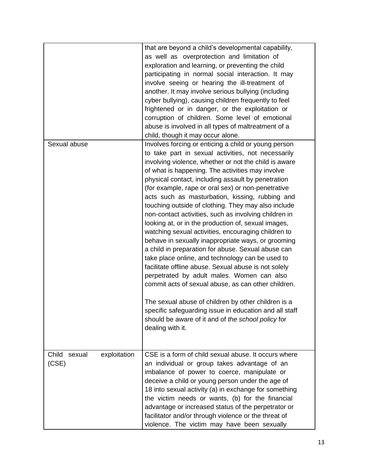|                                 | that are beyond a child's developmental capability,    |
|---------------------------------|--------------------------------------------------------|
|                                 | as well as overprotection and limitation of            |
|                                 | exploration and learning, or preventing the child      |
|                                 | participating in normal social interaction. It may     |
|                                 | involve seeing or hearing the ill-treatment of         |
|                                 | another. It may involve serious bullying (including    |
|                                 | cyber bullying), causing children frequently to feel   |
|                                 | frightened or in danger, or the exploitation or        |
|                                 | corruption of children. Some level of emotional        |
|                                 | abuse is involved in all types of maltreatment of a    |
|                                 | child, though it may occur alone.                      |
| Sexual abuse                    | Involves forcing or enticing a child or young person   |
|                                 | to take part in sexual activities, not necessarily     |
|                                 | involving violence, whether or not the child is aware  |
|                                 | of what is happening. The activities may involve       |
|                                 | physical contact, including assault by penetration     |
|                                 | (for example, rape or oral sex) or non-penetrative     |
|                                 | acts such as masturbation, kissing, rubbing and        |
|                                 |                                                        |
|                                 | touching outside of clothing. They may also include    |
|                                 | non-contact activities, such as involving children in  |
|                                 | looking at, or in the production of, sexual images,    |
|                                 | watching sexual activities, encouraging children to    |
|                                 | behave in sexually inappropriate ways, or grooming     |
|                                 | a child in preparation for abuse. Sexual abuse can     |
|                                 | take place online, and technology can be used to       |
|                                 | facilitate offline abuse. Sexual abuse is not solely   |
|                                 | perpetrated by adult males. Women can also             |
|                                 | commit acts of sexual abuse, as can other children.    |
|                                 | The sexual abuse of children by other children is a    |
|                                 | specific safeguarding issue in education and all staff |
|                                 | should be aware of it and of the school policy for     |
|                                 | dealing with it.                                       |
|                                 |                                                        |
|                                 |                                                        |
| exploitation<br>Child<br>sexual | CSE is a form of child sexual abuse. It occurs where   |
| (CSE)                           | an individual or group takes advantage of an           |
|                                 | imbalance of power to coerce, manipulate or            |
|                                 | deceive a child or young person under the age of       |
|                                 | 18 into sexual activity (a) in exchange for something  |
|                                 | the victim needs or wants, (b) for the financial       |
|                                 |                                                        |
|                                 | advantage or increased status of the perpetrator or    |
|                                 | facilitator and/or through violence or the threat of   |
|                                 | violence. The victim may have been sexually            |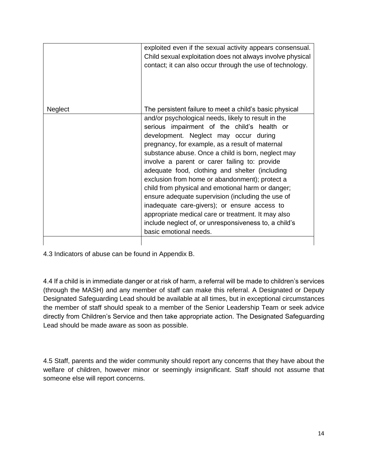|                | exploited even if the sexual activity appears consensual.  |
|----------------|------------------------------------------------------------|
|                | Child sexual exploitation does not always involve physical |
|                | contact; it can also occur through the use of technology.  |
|                |                                                            |
|                |                                                            |
|                |                                                            |
|                |                                                            |
| <b>Neglect</b> | The persistent failure to meet a child's basic physical    |
|                | and/or psychological needs, likely to result in the        |
|                | serious impairment of the child's health or                |
|                | development. Neglect may occur during                      |
|                | pregnancy, for example, as a result of maternal            |
|                | substance abuse. Once a child is born, neglect may         |
|                | involve a parent or carer failing to: provide              |
|                | adequate food, clothing and shelter (including             |
|                | exclusion from home or abandonment); protect a             |
|                | child from physical and emotional harm or danger;          |
|                | ensure adequate supervision (including the use of          |
|                | inadequate care-givers); or ensure access to               |
|                | appropriate medical care or treatment. It may also         |
|                | include neglect of, or unresponsiveness to, a child's      |
|                | basic emotional needs.                                     |
|                |                                                            |

4.3 Indicators of abuse can be found in Appendix B.

4.4 If a child is in immediate danger or at risk of harm, a referral will be made to children's services (through the MASH) and any member of staff can make this referral. A Designated or Deputy Designated Safeguarding Lead should be available at all times, but in exceptional circumstances the member of staff should speak to a member of the Senior Leadership Team or seek advice directly from Children's Service and then take appropriate action. The Designated Safeguarding Lead should be made aware as soon as possible.

4.5 Staff, parents and the wider community should report any concerns that they have about the welfare of children, however minor or seemingly insignificant. Staff should not assume that someone else will report concerns.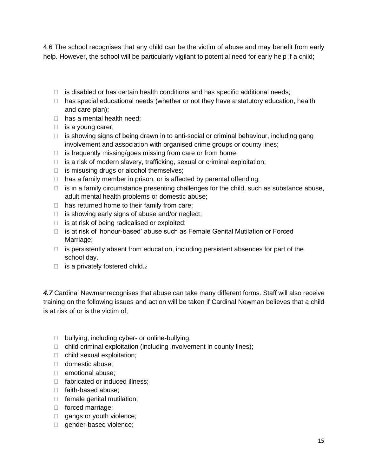4.6 The school recognises that any child can be the victim of abuse and may benefit from early help. However, the school will be particularly vigilant to potential need for early help if a child;

- $\Box$  is disabled or has certain health conditions and has specific additional needs;
- $\Box$  has special educational needs (whether or not they have a statutory education, health and care plan);
- $\Box$  has a mental health need;
- $\Box$  is a young carer;
- $\Box$  is showing signs of being drawn in to anti-social or criminal behaviour, including gang involvement and association with organised crime groups or county lines;
- $\Box$  is frequently missing/goes missing from care or from home;
- $\Box$  is a risk of modern slavery, trafficking, sexual or criminal exploitation;
- $\Box$  is misusing drugs or alcohol themselves;
- $\Box$  has a family member in prison, or is affected by parental offending;
- $\Box$  is in a family circumstance presenting challenges for the child, such as substance abuse, adult mental health problems or domestic abuse;
- $\Box$  has returned home to their family from care;
- $\Box$  is showing early signs of abuse and/or neglect;
- $\Box$  is at risk of being radicalised or exploited;
- $\Box$  is at risk of 'honour-based' abuse such as Female Genital Mutilation or Forced Marriage;
- $\Box$  is persistently absent from education, including persistent absences for part of the school day.
- $\Box$  is a privately fostered child.

*4.7* Cardinal Newmanrecognises that abuse can take many different forms. Staff will also receive training on the following issues and action will be taken if Cardinal Newman believes that a child is at risk of or is the victim of;

- $\Box$  bullying, including cyber- or online-bullying;
- $\Box$  child criminal exploitation (including involvement in county lines);
- □ child sexual exploitation;
- □ domestic abuse;
- □ emotional abuse:
- □ fabricated or induced illness;
- □ faith-based abuse;
- $\Box$  female genital mutilation;
- $\Box$  forced marriage;
- gangs or youth violence;
- gender-based violence;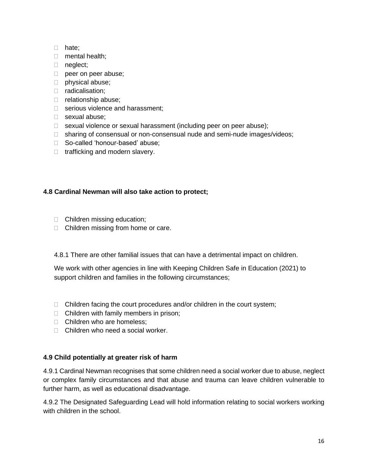- □ hate;
- mental health;
- □ neglect;
- peer on peer abuse;
- physical abuse;
- □ radicalisation;
- D relationship abuse;
- $\Box$  serious violence and harassment;
- sexual abuse;
- $\Box$  sexual violence or sexual harassment (including peer on peer abuse);
- □ sharing of consensual or non-consensual nude and semi-nude images/videos;
- □ So-called 'honour-based' abuse;
- $\Box$  trafficking and modern slavery.

### **4.8 Cardinal Newman will also take action to protect;**

- □ Children missing education;
- $\Box$  Children missing from home or care.

4.8.1 There are other familial issues that can have a detrimental impact on children.

We work with other agencies in line with Keeping Children Safe in Education (2021) to support children and families in the following circumstances;

- $\Box$  Children facing the court procedures and/or children in the court system;
- $\Box$  Children with family members in prison;
- □ Children who are homeless:
- □ Children who need a social worker.

#### **4.9 Child potentially at greater risk of harm**

4.9.1 Cardinal Newman recognises that some children need a social worker due to abuse, neglect or complex family circumstances and that abuse and trauma can leave children vulnerable to further harm, as well as educational disadvantage.

4.9.2 The Designated Safeguarding Lead will hold information relating to social workers working with children in the school.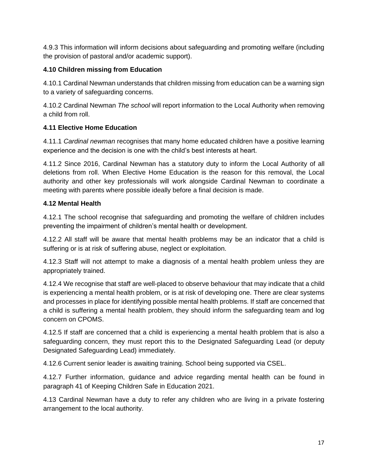4.9.3 This information will inform decisions about safeguarding and promoting welfare (including the provision of pastoral and/or academic support).

### **4.10 Children missing from Education**

4.10.1 Cardinal Newman understands that children missing from education can be a warning sign to a variety of safeguarding concerns.

4.10.2 Cardinal Newman *The school* will report information to the Local Authority when removing a child from roll.

# **4.11 Elective Home Education**

4.11.1 *Cardinal newman* recognises that many home educated children have a positive learning experience and the decision is one with the child's best interests at heart.

4.11.2 Since 2016, Cardinal Newman has a statutory duty to inform the Local Authority of all deletions from roll. When Elective Home Education is the reason for this removal, the Local authority and other key professionals will work alongside Cardinal Newman to coordinate a meeting with parents where possible ideally before a final decision is made.

### **4.12 Mental Health**

4.12.1 The school recognise that safeguarding and promoting the welfare of children includes preventing the impairment of children's mental health or development.

4.12.2 All staff will be aware that mental health problems may be an indicator that a child is suffering or is at risk of suffering abuse, neglect or exploitation.

4.12.3 Staff will not attempt to make a diagnosis of a mental health problem unless they are appropriately trained.

4.12.4 We recognise that staff are well-placed to observe behaviour that may indicate that a child is experiencing a mental health problem, or is at risk of developing one. There are clear systems and processes in place for identifying possible mental health problems. If staff are concerned that a child is suffering a mental health problem, they should inform the safeguarding team and log concern on CPOMS.

4.12.5 If staff are concerned that a child is experiencing a mental health problem that is also a safeguarding concern, they must report this to the Designated Safeguarding Lead (or deputy Designated Safeguarding Lead) immediately.

4.12.6 Current senior leader is awaiting training. School being supported via CSEL.

4.12.7 Further information, guidance and advice regarding mental health can be found in paragraph 41 of Keeping Children Safe in Education 2021.

4.13 Cardinal Newman have a duty to refer any children who are living in a private fostering arrangement to the local authority.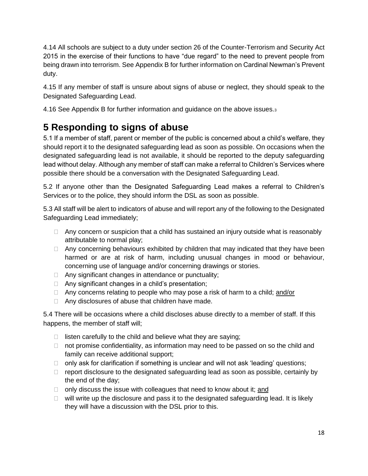4.14 All schools are subject to a duty under section 26 of the Counter-Terrorism and Security Act 2015 in the exercise of their functions to have "due regard" to the need to prevent people from being drawn into terrorism. See Appendix B for further information on Cardinal Newman's Prevent duty.

4.15 If any member of staff is unsure about signs of abuse or neglect, they should speak to the Designated Safeguarding Lead.

4.16 See Appendix B for further information and guidance on the above issues.<sup>3</sup>

# **5 Responding to signs of abuse**

5.1 If a member of staff, parent or member of the public is concerned about a child's welfare, they should report it to the designated safeguarding lead as soon as possible. On occasions when the designated safeguarding lead is not available, it should be reported to the deputy safeguarding lead without delay. Although any member of staff can make a referral to Children's Services where possible there should be a conversation with the Designated Safeguarding Lead.

5.2 If anyone other than the Designated Safeguarding Lead makes a referral to Children's Services or to the police, they should inform the DSL as soon as possible.

5.3 All staff will be alert to indicators of abuse and will report any of the following to the Designated Safeguarding Lead immediately;

- $\Box$  Any concern or suspicion that a child has sustained an injury outside what is reasonably attributable to normal play;
- $\Box$  Any concerning behaviours exhibited by children that may indicated that they have been harmed or are at risk of harm, including unusual changes in mood or behaviour, concerning use of language and/or concerning drawings or stories.
- $\Box$  Any significant changes in attendance or punctuality;
- $\Box$  Any significant changes in a child's presentation;
- $\Box$  Any concerns relating to people who may pose a risk of harm to a child; and/or
- $\Box$  Any disclosures of abuse that children have made.

5.4 There will be occasions where a child discloses abuse directly to a member of staff. If this happens, the member of staff will;

- $\Box$  listen carefully to the child and believe what they are saying;
- $\Box$  not promise confidentiality, as information may need to be passed on so the child and family can receive additional support;
- $\Box$  only ask for clarification if something is unclear and will not ask 'leading' questions;
- $\Box$  report disclosure to the designated safeguarding lead as soon as possible, certainly by the end of the day;
- $\Box$  only discuss the issue with colleagues that need to know about it; and
- $\Box$  will write up the disclosure and pass it to the designated safeguarding lead. It is likely they will have a discussion with the DSL prior to this.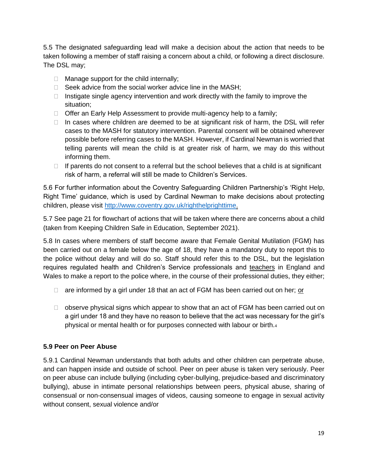5.5 The designated safeguarding lead will make a decision about the action that needs to be taken following a member of staff raising a concern about a child, or following a direct disclosure. The DSL may;

- $\Box$  Manage support for the child internally;
- $\Box$  Seek advice from the social worker advice line in the MASH;
- $\Box$  Instigate single agency intervention and work directly with the family to improve the situation;
- $\Box$  Offer an Early Help Assessment to provide multi-agency help to a family;
- $\Box$  In cases where children are deemed to be at significant risk of harm, the DSL will refer cases to the MASH for statutory intervention. Parental consent will be obtained wherever possible before referring cases to the MASH. However, if Cardinal Newman is worried that telling parents will mean the child is at greater risk of harm, we may do this without informing them.
- $\Box$  If parents do not consent to a referral but the school believes that a child is at significant risk of harm, a referral will still be made to Children's Services.

5.6 For further information about the Coventry Safeguarding Children Partnership's 'Right Help, Right Time' guidance, which is used by Cardinal Newman to make decisions about protecting children, please visit [http://www.coventry.gov.uk/righthelprighttime.](http://www.coventry.gov.uk/righthelprighttime)

5.7 See page 21 for flowchart of actions that will be taken where there are concerns about a child (taken from Keeping Children Safe in Education, September 2021).

5.8 In cases where members of staff become aware that Female Genital Mutilation (FGM) has been carried out on a female below the age of 18, they have a mandatory duty to report this to the police without delay and will do so. Staff should refer this to the DSL, but the legislation requires regulated health and Children's Service professionals and teachers in England and Wales to make a report to the police where, in the course of their professional duties, they either;

- $\Box$  are informed by a girl under 18 that an act of FGM has been carried out on her;  $\underline{\text{or}}$
- $\Box$  observe physical signs which appear to show that an act of FGM has been carried out on a girl under 18 and they have no reason to believe that the act was necessary for the girl's physical or mental health or for purposes connected with labour or birth.<sup>4</sup>

#### **5.9 Peer on Peer Abuse**

5.9.1 Cardinal Newman understands that both adults and other children can perpetrate abuse, and can happen inside and outside of school. Peer on peer abuse is taken very seriously. Peer on peer abuse can include bullying (including cyber-bullying, prejudice-based and discriminatory bullying), abuse in intimate personal relationships between peers, physical abuse, sharing of consensual or non-consensual images of videos, causing someone to engage in sexual activity without consent, sexual violence and/or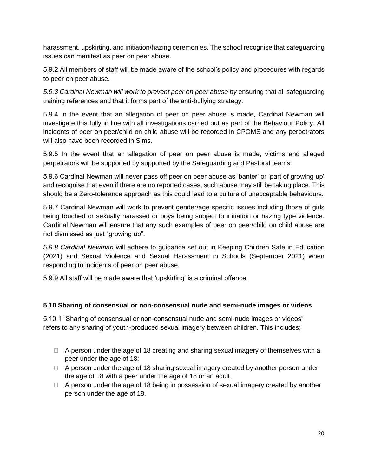harassment, upskirting, and initiation/hazing ceremonies. The school recognise that safeguarding issues can manifest as peer on peer abuse.

5.9.2 All members of staff will be made aware of the school's policy and procedures with regards to peer on peer abuse.

*5.9.3 Cardinal Newman will work to prevent peer on peer abuse by* ensuring that all safeguarding training references and that it forms part of the anti-bullying strategy.

5.9.4 In the event that an allegation of peer on peer abuse is made, Cardinal Newman will investigate this fully in line with all investigations carried out as part of the Behaviour Policy. All incidents of peer on peer/child on child abuse will be recorded in CPOMS and any perpetrators will also have been recorded in Sims.

5.9.5 In the event that an allegation of peer on peer abuse is made, victims and alleged perpetrators will be supported by supported by the Safeguarding and Pastoral teams.

5.9.6 Cardinal Newman will never pass off peer on peer abuse as 'banter' or 'part of growing up' and recognise that even if there are no reported cases, such abuse may still be taking place. This should be a Zero-tolerance approach as this could lead to a culture of unacceptable behaviours.

5.9.7 Cardinal Newman will work to prevent gender/age specific issues including those of girls being touched or sexually harassed or boys being subject to initiation or hazing type violence. Cardinal Newman will ensure that any such examples of peer on peer/child on child abuse are not dismissed as just "growing up".

*5.9.8 Cardinal Newman* will adhere to guidance set out in Keeping Children Safe in Education (2021) and Sexual Violence and Sexual Harassment in Schools (September 2021) when responding to incidents of peer on peer abuse.

5.9.9 All staff will be made aware that 'upskirting' is a criminal offence.

### **5.10 Sharing of consensual or non-consensual nude and semi-nude images or videos**

5.10.1 "Sharing of consensual or non-consensual nude and semi-nude images or videos" refers to any sharing of youth-produced sexual imagery between children. This includes;

- $\Box$  A person under the age of 18 creating and sharing sexual imagery of themselves with a peer under the age of 18;
- $\Box$  A person under the age of 18 sharing sexual imagery created by another person under the age of 18 with a peer under the age of 18 or an adult;
- $\Box$  A person under the age of 18 being in possession of sexual imagery created by another person under the age of 18.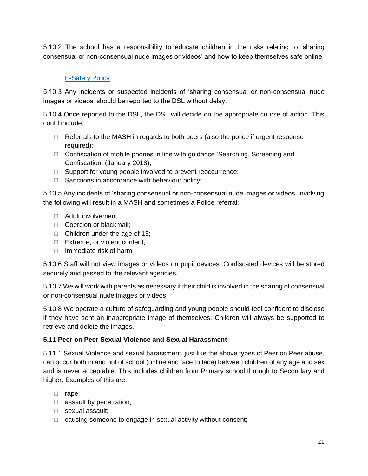5.10.2 The school has a responsibility to educate children in the risks relating to 'sharing consensual or non-consensual nude images or videos' and how to keep themselves safe online.

### [E-Safety Policy](file://///cncs-fs2/slt_drive$/EFH-SHS/Policies/E-Safety%20Policy)

5.10.3 Any incidents or suspected incidents of 'sharing consensual or non-consensual nude images or videos' should be reported to the DSL without delay.

5.10.4 Once reported to the DSL, the DSL will decide on the appropriate course of action. This could include;

- $\Box$  Referrals to the MASH in regards to both peers (also the police if urgent response required);
- □ Confiscation of mobile phones in line with guidance 'Searching, Screening and Confiscation, (January 2018);
- □ Support for young people involved to prevent reoccurrence;
- $\Box$  Sanctions in accordance with behaviour policy;

5.10.5 Any incidents of 'sharing consensual or non-consensual nude images or videos' involving the following will result in a MASH and sometimes a Police referral;

- **Adult involvement;**
- □ Coercion or blackmail;
- $\Box$  Children under the age of 13;
- □ Extreme, or violent content;
- $\Box$  Immediate risk of harm.

5.10.6 Staff will not view images or videos on pupil devices. Confiscated devices will be stored securely and passed to the relevant agencies.

5.10.7 We will work with parents as necessary if their child is involved in the sharing of consensual or non-consensual nude images or videos.

5.10.8 We operate a culture of safeguarding and young people should feel confident to disclose if they have sent an inappropriate image of themselves. Children will always be supported to retrieve and delete the images.

### **5.11 Peer on Peer Sexual Violence and Sexual Harassment**

5.11.1 Sexual Violence and sexual harassment, just like the above types of Peer on Peer abuse, can occur both in and out of school (online and face to face) between children of any age and sex and is never acceptable. This includes children from Primary school through to Secondary and higher. Examples of this are:

- nape;
- □ assault by penetration;
- □ sexual assault:
- $\Box$  causing someone to engage in sexual activity without consent;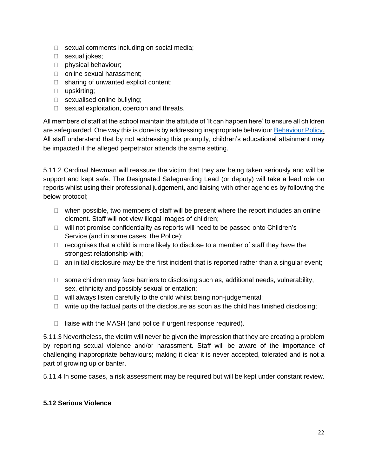- $\Box$  sexual comments including on social media;
- sexual jokes;
- physical behaviour;
- □ online sexual harassment:
- $\Box$  sharing of unwanted explicit content;
- □ upskirting;
- □ sexualised online bullying;
- $\Box$  sexual exploitation, coercion and threats.

All members of staff at the school maintain the attitude of 'It can happen here' to ensure all children are safeguarded. One way this is done is by addressing inappropriate behaviour [Behaviour Policy.](file://///cncs-fs2/slt_drive$/EFH-SHS/Policies/Behaviour%20Policy)  All staff understand that by not addressing this promptly, children's educational attainment may be impacted if the alleged perpetrator attends the same setting.

5.11.2 Cardinal Newman will reassure the victim that they are being taken seriously and will be support and kept safe. The Designated Safeguarding Lead (or deputy) will take a lead role on reports whilst using their professional judgement, and liaising with other agencies by following the below protocol;

- $\Box$  when possible, two members of staff will be present where the report includes an online element. Staff will not view illegal images of children;
- $\Box$  will not promise confidentiality as reports will need to be passed onto Children's Service (and in some cases, the Police);
- $\Box$  recognises that a child is more likely to disclose to a member of staff they have the strongest relationship with;
- $\Box$  an initial disclosure may be the first incident that is reported rather than a singular event;
- $\Box$  some children may face barriers to disclosing such as, additional needs, vulnerability, sex, ethnicity and possibly sexual orientation;
- □ will always listen carefully to the child whilst being non-judgemental;
- $\Box$  write up the factual parts of the disclosure as soon as the child has finished disclosing;
- $\Box$  liaise with the MASH (and police if urgent response required).

5.11.3 Nevertheless, the victim will never be given the impression that they are creating a problem by reporting sexual violence and/or harassment. Staff will be aware of the importance of challenging inappropriate behaviours; making it clear it is never accepted, tolerated and is not a part of growing up or banter.

5.11.4 In some cases, a risk assessment may be required but will be kept under constant review.

#### **5.12 Serious Violence**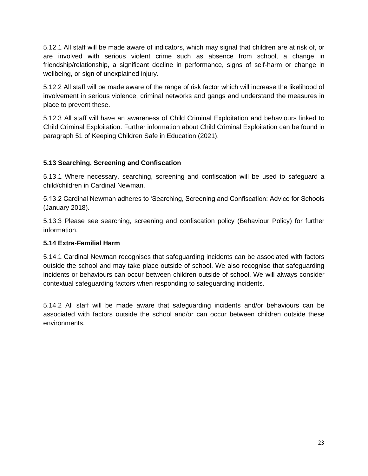5.12.1 All staff will be made aware of indicators, which may signal that children are at risk of, or are involved with serious violent crime such as absence from school, a change in friendship/relationship, a significant decline in performance, signs of self-harm or change in wellbeing, or sign of unexplained injury.

5.12.2 All staff will be made aware of the range of risk factor which will increase the likelihood of involvement in serious violence, criminal networks and gangs and understand the measures in place to prevent these.

5.12.3 All staff will have an awareness of Child Criminal Exploitation and behaviours linked to Child Criminal Exploitation. Further information about Child Criminal Exploitation can be found in paragraph 51 of Keeping Children Safe in Education (2021).

### **5.13 Searching, Screening and Confiscation**

5.13.1 Where necessary, searching, screening and confiscation will be used to safeguard a child/children in Cardinal Newman.

5.13.2 Cardinal Newman adheres to 'Searching, Screening and Confiscation: Advice for Schools (January 2018).

5.13.3 Please see searching, screening and confiscation policy (Behaviour Policy) for further information.

### **5.14 Extra-Familial Harm**

5.14.1 Cardinal Newman recognises that safeguarding incidents can be associated with factors outside the school and may take place outside of school. We also recognise that safeguarding incidents or behaviours can occur between children outside of school. We will always consider contextual safeguarding factors when responding to safeguarding incidents.

5.14.2 All staff will be made aware that safeguarding incidents and/or behaviours can be associated with factors outside the school and/or can occur between children outside these environments.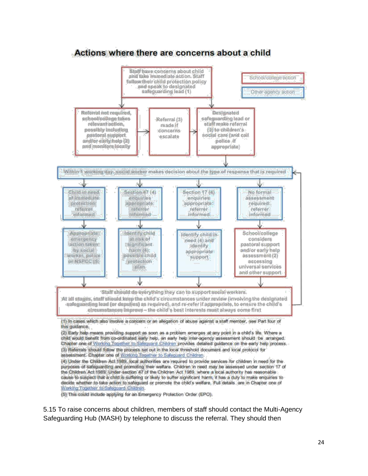# Actions where there are concerns about a child



cause to suspect that a child is suffering or likely to suffer significant harm, it has a duty to make enquiries to decide whether to take action to safeguard or promote the child's welfare. Full details are in Chapter one of Working Together to Safeguard Children.

(5) This could include applying for an Emergency Protection Order (EPO).

5.15 To raise concerns about children, members of staff should contact the Multi-Agency Safeguarding Hub (MASH) by telephone to discuss the referral. They should then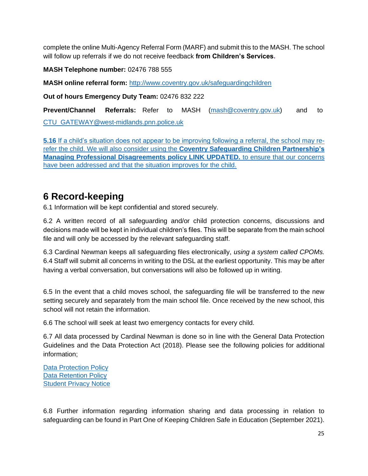complete the online Multi-Agency Referral Form (MARF) and submit this to the MASH. The school will follow up referrals if we do not receive feedback **from Children's Services.**

**MASH Telephone number:** 02476 788 555

**MASH online referral form:** <http://www.coventry.gov.uk/safeguardingchildren>

**Out of hours Emergency Duty Team:** 02476 832 222

**Prevent/Channel Referrals:** Refer to MASH [\(mash@coventry.gov.uk\)](mailto:mash@coventry.gov.uk) and to [CTU\\_GATEWAY@west-midlands.pnn.police.uk](mailto:CTU_GATEWAY@west-midlands.pnn.police.uk)

**5.16** If a child's situation does not appear to be improving following a referral, the school may rerefer the child. We will also consider using the **[Coventry Safeguarding Children](https://westmidlands.procedures.org.uk/ykpzx/statutory-child-protection-procedures/managing-professional-disagreements) [Partnership's](https://westmidlands.procedures.org.uk/ykpzx/statutory-child-protection-procedures/managing-professional-disagreements)  [Managing Professional Disagreements policy LINK UPDATED.](https://westmidlands.procedures.org.uk/ykpzx/statutory-child-protection-procedures/managing-professional-disagreements)** to ensure that our concerns have been addressed and that the situation improves for the child.

# **6 Record-keeping**

6.1 Information will be kept confidential and stored securely.

6.2 A written record of all safeguarding and/or child protection concerns, discussions and decisions made will be kept in individual children's files. This will be separate from the main school file and will only be accessed by the relevant safeguarding staff.

6.3 Cardinal Newman keeps all safeguarding files electronically, *using a system called CPOMs.*  6.4 Staff will submit all concerns in writing to the DSL at the earliest opportunity. This may be after having a verbal conversation, but conversations will also be followed up in writing.

6.5 In the event that a child moves school, the safeguarding file will be transferred to the new setting securely and separately from the main school file. Once received by the new school, this school will not retain the information.

6.6 The school will seek at least two emergency contacts for every child.

6.7 All data processed by Cardinal Newman is done so in line with the General Data Protection Guidelines and the Data Protection Act (2018). Please see the following policies for additional information;

[Data Protection Policy](file://///cncs-fs2/slt_drive$/EFH-SHS/Policies/Data%20Protection%20Policy) [Data Retention Policy](file://///cncs-fs2/slt_drive$/EFH-SHS/Policies/Data%20Retention%20Policy) **[Student Privacy Notice](file://///cncs-fs2/slt_drive$/EFH-SHS/Policies/Student%20Privacy%20Notice)** 

6.8 Further information regarding information sharing and data processing in relation to safeguarding can be found in Part One of Keeping Children Safe in Education (September 2021).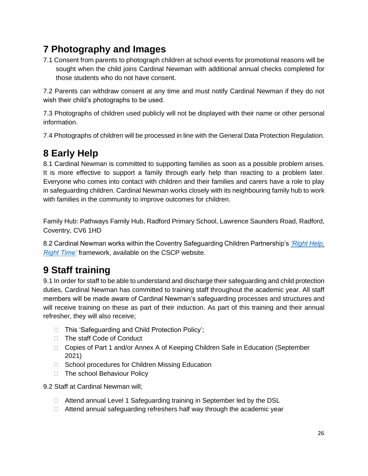# **7 Photography and Images**

7.1 Consent from parents to photograph children at school events for promotional reasons will be sought when the child joins Cardinal Newman with additional annual checks completed for those students who do not have consent.

7.2 Parents can withdraw consent at any time and must notify Cardinal Newman if they do not wish their child's photographs to be used.

7.3 Photographs of children used publicly will not be displayed with their name or other personal information.

7.4 Photographs of children will be processed in line with the General Data Protection Regulation.

# **8 Early Help**

8.1 Cardinal Newman is committed to supporting families as soon as a possible problem arises. It is more effective to support a family through early help than reacting to a problem later. Everyone who comes into contact with children and their families and carers have a role to play in safeguarding children. Cardinal Newman works closely with its neighbouring family hub to work with families in the community to improve outcomes for children.

Family Hub: Pathways Family Hub, Radford Primary School, Lawrence Saunders Road, Radford, Coventry, CV6 1HD

8.2 Cardinal Newman works within the Coventry Safeguarding Children Partnership's *['Right Help,](http://www.coventry.gov.uk/righthelprighttime)  [Right Time'](http://www.coventry.gov.uk/righthelprighttime)* framework, available on the CSCP website.

# **9 Staff training**

9.1 In order for staff to be able to understand and discharge their safeguarding and child protection duties, Cardinal Newman has committed to training staff throughout the academic year. All staff members will be made aware of Cardinal Newman's safeguarding processes and structures and will receive training on these as part of their induction. As part of this training and their annual refresher, they will also receive;

- □ This 'Safeguarding and Child Protection Policy';
- □ The staff Code of Conduct
- □ Copies of Part 1 and/or Annex A of Keeping Children Safe in Education (September 2021)
- □ School procedures for Children Missing Education
- □ The school Behaviour Policy

9.2 Staff at Cardinal Newman will;

- □ Attend annual Level 1 Safeguarding training in September led by the DSL
- □ Attend annual safeguarding refreshers half way through the academic year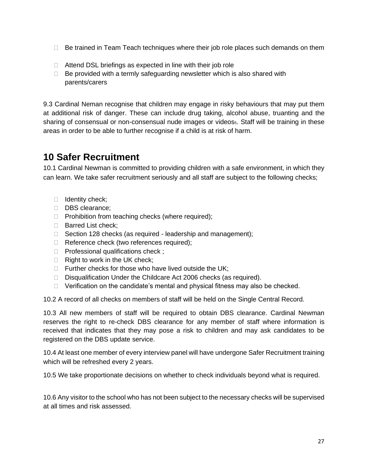- □ Be trained in Team Teach techniques where their job role places such demands on them
- $\Box$  Attend DSL briefings as expected in line with their job role
- $\Box$  Be provided with a termly safeguarding newsletter which is also shared with parents/carers

9.3 Cardinal Neman recognise that children may engage in risky behaviours that may put them at additional risk of danger. These can include drug taking, alcohol abuse, truanting and the sharing of consensual or non-consensual nude images or videos<sub>5</sub>. Staff will be training in these areas in order to be able to further recognise if a child is at risk of harm.

# **10 Safer Recruitment**

10.1 Cardinal Newman is committed to providing children with a safe environment, in which they can learn. We take safer recruitment seriously and all staff are subject to the following checks;

- $\Box$  Identity check;
- DBS clearance;
- $\Box$  Prohibition from teaching checks (where required);
- Barred List check;
- $\Box$  Section 128 checks (as required leadership and management);
- □ Reference check (two references required);
- $\Box$  Professional qualifications check;
- $\Box$  Right to work in the UK check;
- $\Box$  Further checks for those who have lived outside the UK;
- Disqualification Under the Childcare Act 2006 checks (as required).
- $\Box$  Verification on the candidate's mental and physical fitness may also be checked.

10.2 A record of all checks on members of staff will be held on the Single Central Record.

10.3 All new members of staff will be required to obtain DBS clearance. Cardinal Newman reserves the right to re-check DBS clearance for any member of staff where information is received that indicates that they may pose a risk to children and may ask candidates to be registered on the DBS update service.

10.4 At least one member of every interview panel will have undergone Safer Recruitment training which will be refreshed every 2 years.

10.5 We take proportionate decisions on whether to check individuals beyond what is required.

10.6 Any visitor to the school who has not been subject to the necessary checks will be supervised at all times and risk assessed.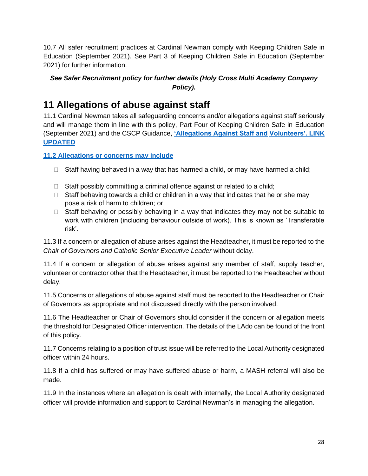10.7 All safer recruitment practices at Cardinal Newman comply with Keeping Children Safe in Education (September 2021). See Part 3 of Keeping Children Safe in Education (September 2021) for further information.

# *See Safer Recruitment policy for further details (Holy Cross Multi Academy Company Policy).*

# **11 Allegations of abuse against staff**

11.1 Cardinal Newman takes all safeguarding concerns and/or allegations against staff seriously and will manage them in line with this policy, Part Four of Keeping Children Safe in Education (September 2021) and the CSCP Guidance, **['Allegations Against Staff and](https://westmidlands.procedures.org.uk/ykpzy/statutory-child-protection-procedures/allegations-against-staff-or-volunteers) [Volunteers'. L](https://westmidlands.procedures.org.uk/ykpzy/statutory-child-protection-procedures/allegations-against-staff-or-volunteers)INK UPDATED**

**11.2 Allegations or concerns may include**

- $\Box$  Staff having behaved in a way that has harmed a child, or may have harmed a child;
- $\Box$  Staff possibly committing a criminal offence against or related to a child;
- $\Box$  Staff behaving towards a child or children in a way that indicates that he or she may pose a risk of harm to children; or
- □ Staff behaving or possibly behaving in a way that indicates they may not be suitable to work with children (including behaviour outside of work). This is known as 'Transferable risk'.

11.3 If a concern or allegation of abuse arises against the Headteacher, it must be reported to the *Chair of Governors and Catholic Senior Executive Leader* without delay.

11.4 If a concern or allegation of abuse arises against any member of staff, supply teacher, volunteer or contractor other that the Headteacher, it must be reported to the Headteacher without delay.

11.5 Concerns or allegations of abuse against staff must be reported to the Headteacher or Chair of Governors as appropriate and not discussed directly with the person involved.

11.6 The Headteacher or Chair of Governors should consider if the concern or allegation meets the threshold for Designated Officer intervention. The details of the LAdo can be found of the front of this policy.

11.7 Concerns relating to a position of trust issue will be referred to the Local Authority designated officer within 24 hours.

11.8 If a child has suffered or may have suffered abuse or harm, a MASH referral will also be made.

11.9 In the instances where an allegation is dealt with internally, the Local Authority designated officer will provide information and support to Cardinal Newman's in managing the allegation.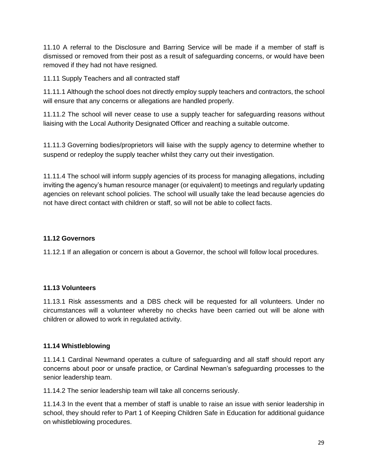11.10 A referral to the Disclosure and Barring Service will be made if a member of staff is dismissed or removed from their post as a result of safeguarding concerns, or would have been removed if they had not have resigned.

11.11 Supply Teachers and all contracted staff

11.11.1 Although the school does not directly employ supply teachers and contractors, the school will ensure that any concerns or allegations are handled properly.

11.11.2 The school will never cease to use a supply teacher for safeguarding reasons without liaising with the Local Authority Designated Officer and reaching a suitable outcome.

11.11.3 Governing bodies/proprietors will liaise with the supply agency to determine whether to suspend or redeploy the supply teacher whilst they carry out their investigation.

11.11.4 The school will inform supply agencies of its process for managing allegations, including inviting the agency's human resource manager (or equivalent) to meetings and regularly updating agencies on relevant school policies. The school will usually take the lead because agencies do not have direct contact with children or staff, so will not be able to collect facts.

### **11.12 Governors**

11.12.1 If an allegation or concern is about a Governor, the school will follow local procedures.

### **11.13 Volunteers**

11.13.1 Risk assessments and a DBS check will be requested for all volunteers. Under no circumstances will a volunteer whereby no checks have been carried out will be alone with children or allowed to work in regulated activity.

### **11.14 Whistleblowing**

11.14.1 Cardinal Newmand operates a culture of safeguarding and all staff should report any concerns about poor or unsafe practice, or Cardinal Newman's safeguarding processes to the senior leadership team.

11.14.2 The senior leadership team will take all concerns seriously.

11.14.3 In the event that a member of staff is unable to raise an issue with senior leadership in school, they should refer to Part 1 of Keeping Children Safe in Education for additional guidance on whistleblowing procedures.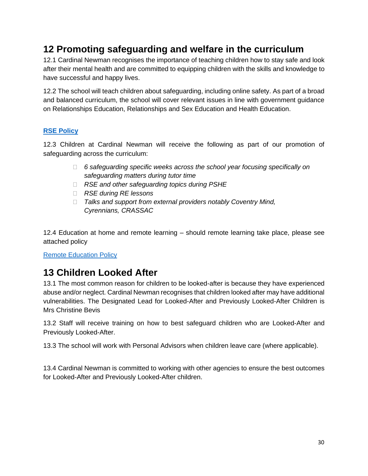# **12 Promoting safeguarding and welfare in the curriculum**

12.1 Cardinal Newman recognises the importance of teaching children how to stay safe and look after their mental health and are committed to equipping children with the skills and knowledge to have successful and happy lives.

12.2 The school will teach children about safeguarding, including online safety. As part of a broad and balanced curriculum, the school will cover relevant issues in line with government guidance on Relationships Education, Relationships and Sex Education and Health Education.

# **[RSE Policy](file://///cncs-fs2/slt_drive$/EFH-SHS/Policies/RSE%20Policy)**

12.3 Children at Cardinal Newman will receive the following as part of our promotion of safeguarding across the curriculum:

- *6 safeguarding specific weeks across the school year focusing specifically on safeguarding matters during tutor time*
- *RSE and other safeguarding topics during PSHE*
- *RSE during RE lessons*
- *Talks and support from external providers notably Coventry Mind, Cyrennians, CRASSAC*

12.4 Education at home and remote learning – should remote learning take place, please see attached policy

[Remote Education Policy](file://///cncs-fs2/slt_drive$/EFH-SHS/Policies/Remote%20Education%20Policy)

# **13 Children Looked After**

13.1 The most common reason for children to be looked-after is because they have experienced abuse and/or neglect. Cardinal Newman recognises that children looked after may have additional vulnerabilities. The Designated Lead for Looked-After and Previously Looked-After Children is Mrs Christine Bevis

13.2 Staff will receive training on how to best safeguard children who are Looked-After and Previously Looked-After.

13.3 The school will work with Personal Advisors when children leave care (where applicable).

13.4 Cardinal Newman is committed to working with other agencies to ensure the best outcomes for Looked-After and Previously Looked-After children.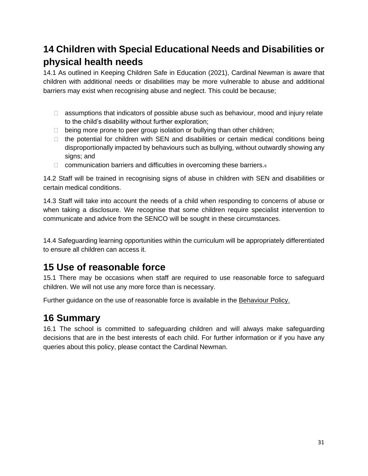# **14 Children with Special Educational Needs and Disabilities or physical health needs**

14.1 As outlined in Keeping Children Safe in Education (2021), Cardinal Newman is aware that children with additional needs or disabilities may be more vulnerable to abuse and additional barriers may exist when recognising abuse and neglect. This could be because;

- $\Box$  assumptions that indicators of possible abuse such as behaviour, mood and injury relate to the child's disability without further exploration;
- $\Box$  being more prone to peer group isolation or bullying than other children;
- $\Box$  the potential for children with SEN and disabilities or certain medical conditions being disproportionally impacted by behaviours such as bullying, without outwardly showing any signs; and
- $\Box$  communication barriers and difficulties in overcoming these barriers.6

14.2 Staff will be trained in recognising signs of abuse in children with SEN and disabilities or certain medical conditions.

14.3 Staff will take into account the needs of a child when responding to concerns of abuse or when taking a disclosure. We recognise that some children require specialist intervention to communicate and advice from the SENCO will be sought in these circumstances.

14.4 Safeguarding learning opportunities within the curriculum will be appropriately differentiated to ensure all children can access it.

# **15 Use of reasonable force**

15.1 There may be occasions when staff are required to use reasonable force to safeguard children. We will not use any more force than is necessary.

Further guidance on the use of reasonable force is available in the [Behaviour Policy.](http://fluencycontent2-schoolwebsite.netdna-ssl.com/FileCluster/CardinalNewmanCatholic/MainFolder/School-Policies/Behaviour-Policy-Autumn-2017.pdf)

# **16 Summary**

16.1 The school is committed to safeguarding children and will always make safeguarding decisions that are in the best interests of each child. For further information or if you have any queries about this policy, please contact the Cardinal Newman.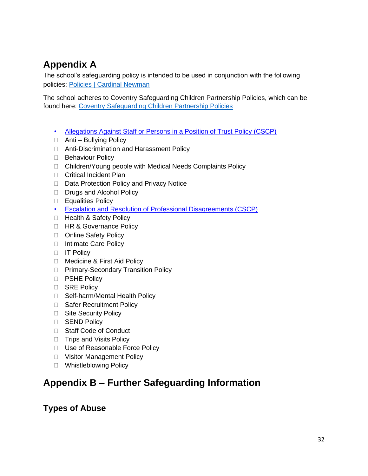# **Appendix A**

The school's safeguarding policy is intended to be used in conjunction with the following policies; [Policies | Cardinal Newman](file://///cncs-fs2/slt_drive$/EFH-SHS/Policies/Policies%20|%20Cardinal%20Newman)

The school adheres to Coventry Safeguarding Children Partnership Policies, which can be found here: [Coventry Safeguarding Children Partnership Policies](file://///cncs-fs2/slt_drive$/EFH-SHS/Policies/Coventry%20Safeguarding%20Children%20Partnership%20Policies)

- [Allegations Against Staff or Persons in a Position of Trust Policy \(CSCP\)](http://www.proceduresonline.com/covandwarksscb/p_alleg_against_staff.html#sub_alleg_ref_dbs)
- $\Box$  Anti Bullying Policy
- □ Anti-Discrimination and Harassment Policy
- □ Behaviour Policy
- □ Children/Young people with Medical Needs Complaints Policy
- □ Critical Incident Plan
- Data Protection Policy and Privacy Notice
- Drugs and Alcohol Policy
- □ Equalities Policy
- [Escalation and Resolution of Professional Disagreements \(CSCP\)](http://www.proceduresonline.com/covandwarksscb/p_escalation_resol.html)
- □ Health & Safety Policy
- □ HR & Governance Policy
- □ Online Safety Policy
- □ Intimate Care Policy
- **IT Policy**
- □ Medicine & First Aid Policy
- □ Primary-Secondary Transition Policy
- **D** PSHE Policy
- □ SRE Policy
- □ Self-harm/Mental Health Policy
- □ Safer Recruitment Policy
- □ Site Security Policy
- □ SEND Policy
- □ Staff Code of Conduct
- $\Box$  Trips and Visits Policy
- □ Use of Reasonable Force Policy
- □ Visitor Management Policy
- □ Whistleblowing Policy

# **Appendix B – Further Safeguarding Information**

# **Types of Abuse**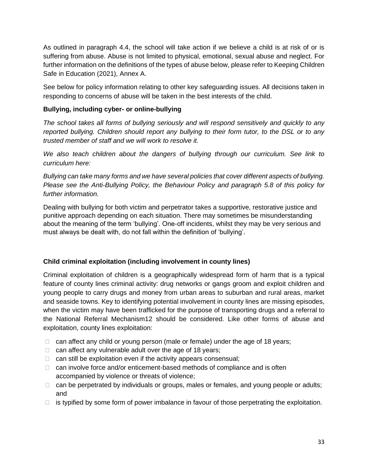As outlined in paragraph 4.4, the school will take action if we believe a child is at risk of or is suffering from abuse. Abuse is not limited to physical, emotional, sexual abuse and neglect. For further information on the definitions of the types of abuse below, please refer to Keeping Children Safe in Education (2021), Annex A.

See below for policy information relating to other key safeguarding issues. All decisions taken in responding to concerns of abuse will be taken in the best interests of the child.

### **Bullying, including cyber- or online-bullying**

*The school takes all forms of bullying seriously and will respond sensitively and quickly to any reported bullying. Children should report any bullying to their form tutor, to the DSL or to any trusted member of staff and we will work to resolve it.*

*We also teach children about the dangers of bullying through our curriculum. See link to curriculum here:*

*Bullying can take many forms and we have several policies that cover different aspects of bullying. Please see the Anti-Bullying Policy, the Behaviour Policy and paragraph 5.8 of this policy for further information.*

Dealing with bullying for both victim and perpetrator takes a supportive, restorative justice and punitive approach depending on each situation. There may sometimes be misunderstanding about the meaning of the term 'bullying'. One-off incidents, whilst they may be very serious and must always be dealt with, do not fall within the definition of 'bullying'.

### **Child criminal exploitation (including involvement in county lines)**

Criminal exploitation of children is a geographically widespread form of harm that is a typical feature of county lines criminal activity: drug networks or gangs groom and exploit children and young people to carry drugs and money from urban areas to suburban and rural areas, market and seaside towns. Key to identifying potential involvement in county lines are missing episodes, when the victim may have been trafficked for the purpose of transporting drugs and a referral to the National Referral Mechanism12 should be considered. Like other forms of abuse and exploitation, county lines exploitation:

- $\Box$  can affect any child or young person (male or female) under the age of 18 years;
- $\Box$  can affect any vulnerable adult over the age of 18 years;
- $\Box$  can still be exploitation even if the activity appears consensual;
- $\Box$  can involve force and/or enticement-based methods of compliance and is often accompanied by violence or threats of violence;
- $\Box$  can be perpetrated by individuals or groups, males or females, and young people or adults; and
- $\Box$  is typified by some form of power imbalance in favour of those perpetrating the exploitation.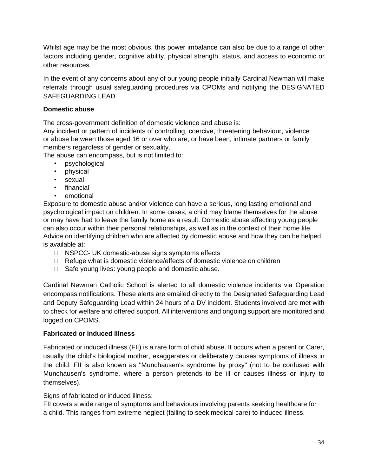Whilst age may be the most obvious, this power imbalance can also be due to a range of other factors including gender, cognitive ability, physical strength, status, and access to economic or other resources.

In the event of any concerns about any of our young people initially Cardinal Newman will make referrals through usual safeguarding procedures via CPOMs and notifying the DESIGNATED SAFEGUARDING LEAD.

### **Domestic abuse**

The cross-government definition of domestic violence and abuse is:

Any incident or pattern of incidents of controlling, coercive, threatening behaviour, violence or abuse between those aged 16 or over who are, or have been, intimate partners or family members regardless of gender or sexuality.

The abuse can encompass, but is not limited to:

- psychological
- physical
- sexual
- financial
- emotional

Exposure to domestic abuse and/or violence can have a serious, long lasting emotional and psychological impact on children. In some cases, a child may blame themselves for the abuse or may have had to leave the family home as a result. Domestic abuse affecting young people can also occur within their personal relationships, as well as in the context of their home life. Advice on identifying children who are affected by domestic abuse and how they can be helped is available at:

- □ NSPCC- UK domestic-abuse signs symptoms effects
- $\Box$  Refuge what is domestic violence/effects of domestic violence on children
- $\Box$  Safe young lives: young people and domestic abuse.

Cardinal Newman Catholic School is alerted to all domestic violence incidents via Operation encompass notifications. These alerts are emailed directly to the Designated Safeguarding Lead and Deputy Safeguarding Lead within 24 hours of a DV incident. Students involved are met with to check for welfare and offered support. All interventions and ongoing support are monitored and logged on CPOMS.

### **Fabricated or induced illness**

Fabricated or induced illness (FII) is a rare form of child abuse. It occurs when a parent or Carer, usually the child's biological mother, exaggerates or deliberately causes symptoms of illness in the child. FII is also known as "Munchausen's syndrome by proxy" (not to be confused with Munchausen's syndrome, where a person pretends to be ill or causes illness or injury to themselves).

Signs of fabricated or induced illness:

FII covers a wide range of symptoms and behaviours involving parents seeking healthcare for a child. This ranges from extreme neglect (failing to seek medical care) to induced illness.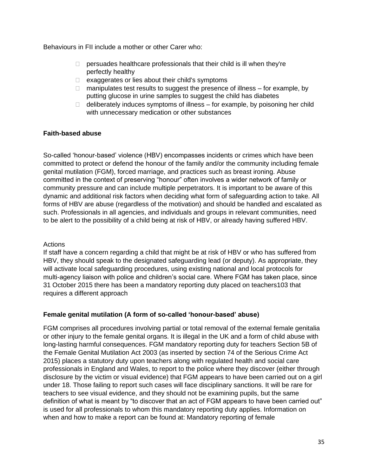Behaviours in FII include a mother or other Carer who:

- $\Box$  persuades healthcare professionals that their child is ill when they're perfectly healthy
- $\Box$  exaggerates or lies about their child's symptoms
- $\Box$  manipulates test results to suggest the presence of illness for example, by putting glucose in urine samples to suggest the child has diabetes
- $\Box$  deliberately induces symptoms of illness for example, by poisoning her child with unnecessary medication or other substances

#### **Faith-based abuse**

So-called 'honour-based' violence (HBV) encompasses incidents or crimes which have been committed to protect or defend the honour of the family and/or the community including female genital mutilation (FGM), forced marriage, and practices such as breast ironing. Abuse committed in the context of preserving "honour" often involves a wider network of family or community pressure and can include multiple perpetrators. It is important to be aware of this dynamic and additional risk factors when deciding what form of safeguarding action to take. All forms of HBV are abuse (regardless of the motivation) and should be handled and escalated as such. Professionals in all agencies, and individuals and groups in relevant communities, need to be alert to the possibility of a child being at risk of HBV, or already having suffered HBV.

#### Actions

If staff have a concern regarding a child that might be at risk of HBV or who has suffered from HBV, they should speak to the designated safeguarding lead (or deputy). As appropriate, they will activate local safeguarding procedures, using existing national and local protocols for multi-agency liaison with police and children's social care. Where FGM has taken place, since 31 October 2015 there has been a mandatory reporting duty placed on teachers103 that requires a different approach

#### **Female genital mutilation (A form of so-called 'honour-based' abuse)**

FGM comprises all procedures involving partial or total removal of the external female genitalia or other injury to the female genital organs. It is illegal in the UK and a form of child abuse with long-lasting harmful consequences. FGM mandatory reporting duty for teachers Section 5B of the Female Genital Mutilation Act 2003 (as inserted by section 74 of the Serious Crime Act 2015) places a statutory duty upon teachers along with regulated health and social care professionals in England and Wales, to report to the police where they discover (either through disclosure by the victim or visual evidence) that FGM appears to have been carried out on a girl under 18. Those failing to report such cases will face disciplinary sanctions. It will be rare for teachers to see visual evidence, and they should not be examining pupils, but the same definition of what is meant by "to discover that an act of FGM appears to have been carried out" is used for all professionals to whom this mandatory reporting duty applies. Information on when and how to make a report can be found at: Mandatory reporting of female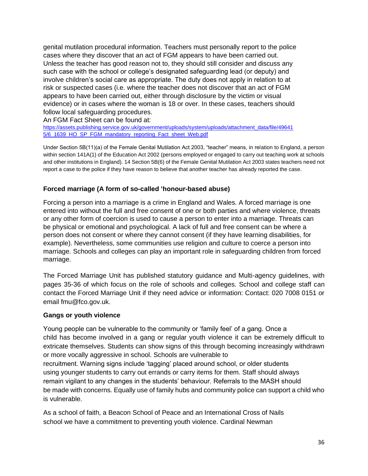genital mutilation procedural information. Teachers must personally report to the police cases where they discover that an act of FGM appears to have been carried out. Unless the teacher has good reason not to, they should still consider and discuss any such case with the school or college's designated safeguarding lead (or deputy) and involve children's social care as appropriate. The duty does not apply in relation to at risk or suspected cases (i.e. where the teacher does not discover that an act of FGM appears to have been carried out, either through disclosure by the victim or visual evidence) or in cases where the woman is 18 or over. In these cases, teachers should follow local safeguarding procedures.

An FGM Fact Sheet can be found at:

[https://assets.publishing.service.gov.uk/government/uploads/system/uploads/attachment\\_data/file/49641](https://assets.publishing.service.gov.uk/government/uploads/system/uploads/attachment_data/file/496415/6_1639_HO_SP_FGM_mandatory_reporting_Fact_sheet_Web.pdf) [5/6\\_1639\\_HO\\_SP\\_FGM\\_mandatory\\_reporting\\_Fact\\_sheet\\_Web.pdf](https://assets.publishing.service.gov.uk/government/uploads/system/uploads/attachment_data/file/496415/6_1639_HO_SP_FGM_mandatory_reporting_Fact_sheet_Web.pdf)

Under Section 5B(11)(a) of the Female Genital Mutilation Act 2003, "teacher" means, in relation to England, a person within section 141A(1) of the Education Act 2002 (persons employed or engaged to carry out teaching work at schools and other institutions in England). 14 Section 5B(6) of the Female Genital Mutilation Act 2003 states teachers need not report a case to the police if they have reason to believe that another teacher has already reported the case.

#### **Forced marriage (A form of so-called 'honour-based abuse)**

Forcing a person into a marriage is a crime in England and Wales. A forced marriage is one entered into without the full and free consent of one or both parties and where violence, threats or any other form of coercion is used to cause a person to enter into a marriage. Threats can be physical or emotional and psychological. A lack of full and free consent can be where a person does not consent or where they cannot consent (if they have learning disabilities, for example). Nevertheless, some communities use religion and culture to coerce a person into marriage. Schools and colleges can play an important role in safeguarding children from forced marriage.

The Forced Marriage Unit has published statutory guidance and Multi-agency guidelines, with pages 35-36 of which focus on the role of schools and colleges. School and college staff can contact the Forced Marriage Unit if they need advice or information: Contact: 020 7008 0151 or email fmu@fco.gov.uk.

#### **Gangs or youth violence**

Young people can be vulnerable to the community or 'family feel' of a gang. Once a child has become involved in a gang or regular youth violence it can be extremely difficult to extricate themselves. Students can show signs of this through becoming increasingly withdrawn or more vocally aggressive in school. Schools are vulnerable to

recruitment. Warning signs include 'tagging' placed around school, or older students using younger students to carry out errands or carry items for them. Staff should always remain vigilant to any changes in the students' behaviour. Referrals to the MASH should be made with concerns. Equally use of family hubs and community police can support a child who is vulnerable.

As a school of faith, a Beacon School of Peace and an International Cross of Nails school we have a commitment to preventing youth violence. Cardinal Newman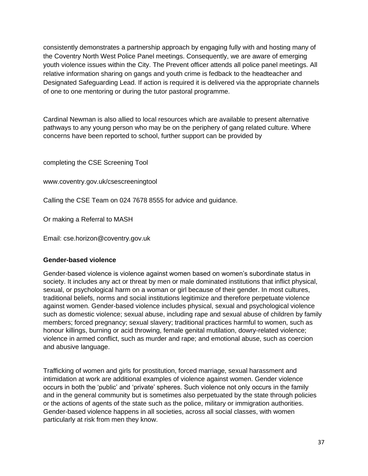consistently demonstrates a partnership approach by engaging fully with and hosting many of the Coventry North West Police Panel meetings. Consequently, we are aware of emerging youth violence issues within the City. The Prevent officer attends all police panel meetings. All relative information sharing on gangs and youth crime is fedback to the headteacher and Designated Safeguarding Lead. If action is required it is delivered via the appropriate channels of one to one mentoring or during the tutor pastoral programme.

Cardinal Newman is also allied to local resources which are available to present alternative pathways to any young person who may be on the periphery of gang related culture. Where concerns have been reported to school, further support can be provided by

completing the CSE Screening Tool

www.coventry.gov.uk/csescreeningtool

Calling the CSE Team on 024 7678 8555 for advice and guidance.

Or making a Referral to MASH

Email: cse.horizon@coventry.gov.uk

#### **Gender-based violence**

Gender-based violence is violence against women based on women's subordinate status in society. It includes any act or threat by men or male dominated institutions that inflict physical, sexual, or psychological harm on a woman or girl because of their gender. In most cultures, traditional beliefs, norms and social institutions legitimize and therefore perpetuate violence against women. Gender-based violence includes physical, sexual and psychological violence such as domestic violence; sexual abuse, including rape and sexual abuse of children by family members; forced pregnancy; sexual slavery; traditional practices harmful to women, such as honour killings, burning or acid throwing, female genital mutilation, dowry-related violence; violence in armed conflict, such as murder and rape; and emotional abuse, such as coercion and abusive language.

Trafficking of women and girls for prostitution, forced marriage, sexual harassment and intimidation at work are additional examples of violence against women. Gender violence occurs in both the 'public' and 'private' spheres. Such violence not only occurs in the family and in the general community but is sometimes also perpetuated by the state through policies or the actions of agents of the state such as the police, military or immigration authorities. Gender-based violence happens in all societies, across all social classes, with women particularly at risk from men they know.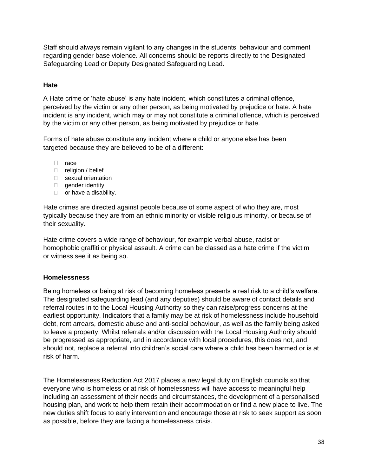Staff should always remain vigilant to any changes in the students' behaviour and comment regarding gender base violence. All concerns should be reports directly to the Designated Safeguarding Lead or Deputy Designated Safeguarding Lead.

#### **Hate**

A Hate crime or 'hate abuse' is any hate incident, which constitutes a criminal offence, perceived by the victim or any other person, as being motivated by prejudice or hate. A hate incident is any incident, which may or may not constitute a criminal offence, which is perceived by the victim or any other person, as being motivated by prejudice or hate.

Forms of hate abuse constitute any incident where a child or anyone else has been targeted because they are believed to be of a different:

- $\Box$  race
- □ religion / belief
- $\Box$  sexual orientation
- **gender identity**
- □ or have a disability.

Hate crimes are directed against people because of some aspect of who they are, most typically because they are from an ethnic minority or visible religious minority, or because of their sexuality.

Hate crime covers a wide range of behaviour, for example verbal abuse, racist or homophobic graffiti or physical assault. A crime can be classed as a hate crime if the victim or witness see it as being so.

#### **Homelessness**

Being homeless or being at risk of becoming homeless presents a real risk to a child's welfare. The designated safeguarding lead (and any deputies) should be aware of contact details and referral routes in to the Local Housing Authority so they can raise/progress concerns at the earliest opportunity. Indicators that a family may be at risk of homelessness include household debt, rent arrears, domestic abuse and anti-social behaviour, as well as the family being asked to leave a property. Whilst referrals and/or discussion with the Local Housing Authority should be progressed as appropriate, and in accordance with local procedures, this does not, and should not, replace a referral into children's social care where a child has been harmed or is at risk of harm.

The Homelessness Reduction Act 2017 places a new legal duty on English councils so that everyone who is homeless or at risk of homelessness will have access to meaningful help including an assessment of their needs and circumstances, the development of a personalised housing plan, and work to help them retain their accommodation or find a new place to live. The new duties shift focus to early intervention and encourage those at risk to seek support as soon as possible, before they are facing a homelessness crisis.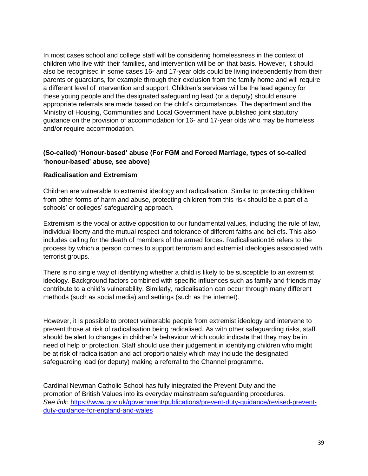In most cases school and college staff will be considering homelessness in the context of children who live with their families, and intervention will be on that basis. However, it should also be recognised in some cases 16- and 17-year olds could be living independently from their parents or guardians, for example through their exclusion from the family home and will require a different level of intervention and support. Children's services will be the lead agency for these young people and the designated safeguarding lead (or a deputy) should ensure appropriate referrals are made based on the child's circumstances. The department and the Ministry of Housing, Communities and Local Government have published joint statutory guidance on the provision of accommodation for 16- and 17-year olds who may be homeless and/or require accommodation.

### **(So-called) 'Honour-based' abuse (For FGM and Forced Marriage, types of so-called 'honour-based' abuse, see above)**

#### **Radicalisation and Extremism**

Children are vulnerable to extremist ideology and radicalisation. Similar to protecting children from other forms of harm and abuse, protecting children from this risk should be a part of a schools' or colleges' safeguarding approach.

Extremism is the vocal or active opposition to our fundamental values, including the rule of law, individual liberty and the mutual respect and tolerance of different faiths and beliefs. This also includes calling for the death of members of the armed forces. Radicalisation16 refers to the process by which a person comes to support terrorism and extremist ideologies associated with terrorist groups.

There is no single way of identifying whether a child is likely to be susceptible to an extremist ideology. Background factors combined with specific influences such as family and friends may contribute to a child's vulnerability. Similarly, radicalisation can occur through many different methods (such as social media) and settings (such as the internet).

However, it is possible to protect vulnerable people from extremist ideology and intervene to prevent those at risk of radicalisation being radicalised. As with other safeguarding risks, staff should be alert to changes in children's behaviour which could indicate that they may be in need of help or protection. Staff should use their judgement in identifying children who might be at risk of radicalisation and act proportionately which may include the designated safeguarding lead (or deputy) making a referral to the Channel programme.

Cardinal Newman Catholic School has fully integrated the Prevent Duty and the promotion of British Values into its everyday mainstream safeguarding procedures. *See link*: [https://www.gov.uk/government/publications/prevent-duty-guidance/revised-prevent](https://www.gov.uk/government/publications/prevent-duty-guidance/revised-prevent-duty-guidance-for-england-and-wales)[duty-guidance-for-england-and-wales](https://www.gov.uk/government/publications/prevent-duty-guidance/revised-prevent-duty-guidance-for-england-and-wales)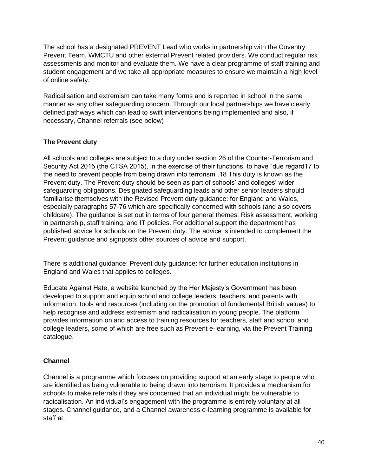The school has a designated PREVENT Lead who works in partnership with the Coventry Prevent Team, WMCTU and other external Prevent related providers. We conduct regular risk assessments and monitor and evaluate them. We have a clear programme of staff training and student engagement and we take all appropriate measures to ensure we maintain a high level of online safety.

Radicalisation and extremism can take many forms and is reported in school in the same manner as any other safeguarding concern. Through our local partnerships we have clearly defined pathways which can lead to swift interventions being implemented and also, if necessary, Channel referrals (see below)

### **The Prevent duty**

All schools and colleges are subject to a duty under section 26 of the Counter-Terrorism and Security Act 2015 (the CTSA 2015), in the exercise of their functions, to have "due regard17 to the need to prevent people from being drawn into terrorism".18 This duty is known as the Prevent duty. The Prevent duty should be seen as part of schools' and colleges' wider safeguarding obligations. Designated safeguarding leads and other senior leaders should familiarise themselves with the Revised Prevent duty guidance: for England and Wales, especially paragraphs 57-76 which are specifically concerned with schools (and also covers childcare). The guidance is set out in terms of four general themes: Risk assessment, working in partnership, staff training, and IT policies. For additional support the department has published advice for schools on the Prevent duty. The advice is intended to complement the Prevent guidance and signposts other sources of advice and support.

There is additional guidance: Prevent duty guidance: for further education institutions in England and Wales that applies to colleges.

Educate Against Hate, a website launched by the Her Majesty's Government has been developed to support and equip school and college leaders, teachers, and parents with information, tools and resources (including on the promotion of fundamental British values) to help recognise and address extremism and radicalisation in young people. The platform provides information on and access to training resources for teachers, staff and school and college leaders, some of which are free such as Prevent e-learning, via the Prevent Training catalogue.

#### **Channel**

Channel is a programme which focuses on providing support at an early stage to people who are identified as being vulnerable to being drawn into terrorism. It provides a mechanism for schools to make referrals if they are concerned that an individual might be vulnerable to radicalisation. An individual's engagement with the programme is entirely voluntary at all stages. Channel guidance, and a Channel awareness e-learning programme is available for staff at: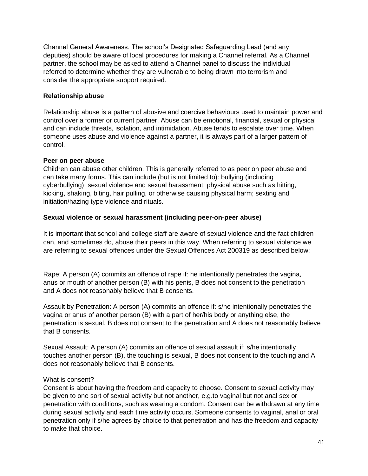Channel General Awareness. The school's Designated Safeguarding Lead (and any deputies) should be aware of local procedures for making a Channel referral. As a Channel partner, the school may be asked to attend a Channel panel to discuss the individual referred to determine whether they are vulnerable to being drawn into terrorism and consider the appropriate support required.

### **Relationship abuse**

Relationship abuse is a pattern of abusive and coercive behaviours used to maintain power and control over a former or current partner. Abuse can be emotional, financial, sexual or physical and can include threats, isolation, and intimidation. Abuse tends to escalate over time. When someone uses abuse and violence against a partner, it is always part of a larger pattern of control.

#### **Peer on peer abuse**

Children can abuse other children. This is generally referred to as peer on peer abuse and can take many forms. This can include (but is not limited to): bullying (including cyberbullying); sexual violence and sexual harassment; physical abuse such as hitting, kicking, shaking, biting, hair pulling, or otherwise causing physical harm; sexting and initiation/hazing type violence and rituals.

#### **Sexual violence or sexual harassment (including peer-on-peer abuse)**

It is important that school and college staff are aware of sexual violence and the fact children can, and sometimes do, abuse their peers in this way. When referring to sexual violence we are referring to sexual offences under the Sexual Offences Act 200319 as described below:

Rape: A person (A) commits an offence of rape if: he intentionally penetrates the vagina, anus or mouth of another person (B) with his penis, B does not consent to the penetration and A does not reasonably believe that B consents.

Assault by Penetration: A person (A) commits an offence if: s/he intentionally penetrates the vagina or anus of another person (B) with a part of her/his body or anything else, the penetration is sexual, B does not consent to the penetration and A does not reasonably believe that B consents.

Sexual Assault: A person (A) commits an offence of sexual assault if: s/he intentionally touches another person (B), the touching is sexual, B does not consent to the touching and A does not reasonably believe that B consents.

#### What is consent?

Consent is about having the freedom and capacity to choose. Consent to sexual activity may be given to one sort of sexual activity but not another, e.g.to vaginal but not anal sex or penetration with conditions, such as wearing a condom. Consent can be withdrawn at any time during sexual activity and each time activity occurs. Someone consents to vaginal, anal or oral penetration only if s/he agrees by choice to that penetration and has the freedom and capacity to make that choice.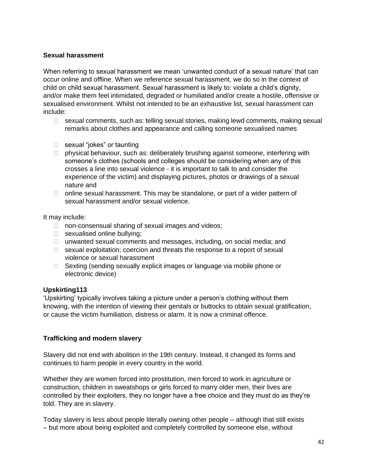#### **Sexual harassment**

When referring to sexual harassment we mean 'unwanted conduct of a sexual nature' that can occur online and offline. When we reference sexual harassment, we do so in the context of child on child sexual harassment. Sexual harassment is likely to: violate a child's dignity, and/or make them feel intimidated, degraded or humiliated and/or create a hostile, offensive or sexualised environment. Whilst not intended to be an exhaustive list, sexual harassment can include:

- $\Box$  sexual comments, such as: telling sexual stories, making lewd comments, making sexual remarks about clothes and appearance and calling someone sexualised names
- □ sexual "jokes" or taunting
- □ physical behaviour, such as: deliberately brushing against someone, interfering with someone's clothes (schools and colleges should be considering when any of this crosses a line into sexual violence - it is important to talk to and consider the experience of the victim) and displaying pictures, photos or drawings of a sexual nature and
- $\Box$  online sexual harassment. This may be standalone, or part of a wider pattern of sexual harassment and/or sexual violence.

It may include:

- □ non-consensual sharing of sexual images and videos;
- □ sexualised online bullying;
- $\Box$  unwanted sexual comments and messages, including, on social media; and
- $\Box$  sexual exploitation; coercion and threats the response to a report of sexual violence or sexual harassment
- □ Sexting (sending sexually explicit images or language via mobile phone or electronic device)

#### **Upskirting113**

'Upskirting' typically involves taking a picture under a person's clothing without them knowing, with the intention of viewing their genitals or buttocks to obtain sexual gratification, or cause the victim humiliation, distress or alarm. It is now a criminal offence.

#### **Trafficking and modern slavery**

Slavery did not end with abolition in the 19th century. Instead, it changed its forms and continues to harm people in every country in the world.

Whether they are women forced into prostitution, men forced to work in agriculture or construction, children in sweatshops or girls forced to marry older men, their lives are controlled by their exploiters, they no longer have a free choice and they must do as they're told. They are in slavery.

Today slavery is less about people literally owning other people – although that still exists – but more about being exploited and completely controlled by someone else, without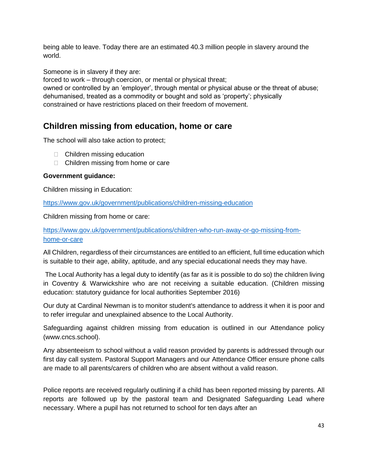being able to leave. Today there are an estimated 40.3 million people in slavery around the world.

Someone is in slavery if they are:

forced to work – through coercion, or mental or physical threat;

owned or controlled by an 'employer', through mental or physical abuse or the threat of abuse; dehumanised, treated as a commodity or bought and sold as 'property'; physically constrained or have restrictions placed on their freedom of movement.

# **Children missing from education, home or care**

The school will also take action to protect;

- □ Children missing education
- □ Children missing from home or care

### **Government guidance:**

Children missing in Education:

<https://www.gov.uk/government/publications/children-missing-education>

Children missing from home or care:

[https://www.gov.uk/government/publications/children-who-run-away-or-go-missing-from](https://www.gov.uk/government/publications/children-who-run-away-or-go-missing-from-home-or-care)[home-or-care](https://www.gov.uk/government/publications/children-who-run-away-or-go-missing-from-home-or-care)

All Children, regardless of their circumstances are entitled to an efficient, full time education which is suitable to their age, ability, aptitude, and any special educational needs they may have.

The Local Authority has a legal duty to identify (as far as it is possible to do so) the children living in Coventry & Warwickshire who are not receiving a suitable education. (Children missing education: statutory guidance for local authorities September 2016)

Our duty at Cardinal Newman is to monitor student's attendance to address it when it is poor and to refer irregular and unexplained absence to the Local Authority.

Safeguarding against children missing from education is outlined in our Attendance policy (www.cncs.school).

Any absenteeism to school without a valid reason provided by parents is addressed through our first day call system. Pastoral Support Managers and our Attendance Officer ensure phone calls are made to all parents/carers of children who are absent without a valid reason.

Police reports are received regularly outlining if a child has been reported missing by parents. All reports are followed up by the pastoral team and Designated Safeguarding Lead where necessary. Where a pupil has not returned to school for ten days after an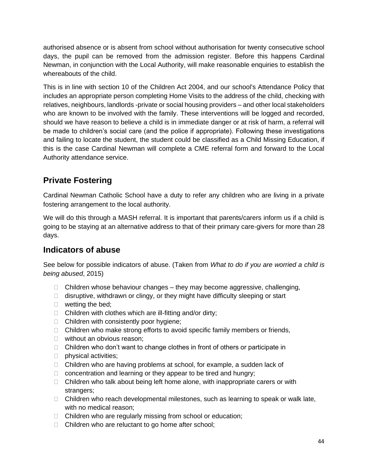authorised absence or is absent from school without authorisation for twenty consecutive school days, the pupil can be removed from the admission register. Before this happens Cardinal Newman, in conjunction with the Local Authority, will make reasonable enquiries to establish the whereabouts of the child.

This is in line with section 10 of the Children Act 2004, and our school's Attendance Policy that includes an appropriate person completing Home Visits to the address of the child, checking with relatives, neighbours, landlords -private or social housing providers – and other local stakeholders who are known to be involved with the family. These interventions will be logged and recorded, should we have reason to believe a child is in immediate danger or at risk of harm, a referral will be made to children's social care (and the police if appropriate). Following these investigations and failing to locate the student, the student could be classified as a Child Missing Education, if this is the case Cardinal Newman will complete a CME referral form and forward to the Local Authority attendance service.

# **Private Fostering**

Cardinal Newman Catholic School have a duty to refer any children who are living in a private fostering arrangement to the local authority.

We will do this through a MASH referral. It is important that parents/carers inform us if a child is going to be staying at an alternative address to that of their primary care-givers for more than 28 days.

# **Indicators of abuse**

See below for possible indicators of abuse. (Taken from *What to do if you are worried a child is being abused*, 2015)

- $\Box$  Children whose behaviour changes they may become aggressive, challenging,
- $\Box$  disruptive, withdrawn or clingy, or they might have difficulty sleeping or start
- $\Box$  wetting the bed;
- $\Box$  Children with clothes which are ill-fitting and/or dirty;
- $\Box$  Children with consistently poor hygiene;
- □ Children who make strong efforts to avoid specific family members or friends,
- □ without an obvious reason;
- $\Box$  Children who don't want to change clothes in front of others or participate in
- $\Box$  physical activities;
- $\Box$  Children who are having problems at school, for example, a sudden lack of
- $\Box$  concentration and learning or they appear to be tired and hungry;
- $\Box$  Children who talk about being left home alone, with inappropriate carers or with strangers;
- $\Box$  Children who reach developmental milestones, such as learning to speak or walk late, with no medical reason;
- $\Box$  Children who are regularly missing from school or education;
- □ Children who are reluctant to go home after school;